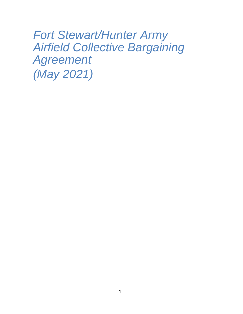*Fort Stewart/Hunter Army Airfield Collective Bargaining Agreement (May 2021)*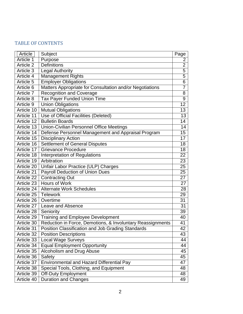# TABLE OF CONTENTS

| Article    | Subject                                                    | Page            |
|------------|------------------------------------------------------------|-----------------|
| Article 1  | Purpose                                                    | $\overline{2}$  |
| Article 2  | <b>Definitions</b>                                         | $\overline{2}$  |
| Article 3  | <b>Legal Authority</b>                                     | 5               |
| Article 4  | <b>Management Rights</b>                                   | 5               |
| Article 5  | <b>Employer Obligations</b>                                | $\overline{6}$  |
| Article 6  | Matters Appropriate for Consultation and/or Negotiations   | 7               |
| Article 7  | <b>Recognition and Coverage</b>                            | 8               |
| Article 8  | <b>Tax Payer Funded Union Time</b>                         | $\overline{9}$  |
| Article 9  | <b>Union Obligations</b>                                   | $\overline{12}$ |
| Article 10 | <b>Mutual Obligations</b>                                  | 13              |
| Article 11 | Use of Official Facilities (Deleted)                       | 13              |
| Article 12 | <b>Bulletin Boards</b>                                     | 14              |
| Article 13 | <b>Union-Civilian Personnel Office Meetings</b>            | 14              |
| Article 14 | Defense Personnel Management and Appraisal Program         | 15              |
| Article 15 | <b>Disciplinary Action</b>                                 | 17              |
| Article 16 | <b>Settlement of General Disputes</b>                      | 18              |
| Article 17 | <b>Grievance Procedure</b>                                 | 18              |
| Article 18 | Interpretation of Regulations                              | $\overline{22}$ |
| Article 19 | Arbitration                                                | 23              |
| Article 20 | Unfair Labor Practice (ULP) Charges                        | 25              |
| Article 21 | <b>Payroll Deduction of Union Dues</b>                     | 25              |
| Article 22 | <b>Contracting Out</b>                                     | 27              |
| Article 23 | Hours of Work                                              | 27              |
| Article 24 | <b>Alternate Work Schedules</b>                            | 28              |
| Article 25 | <b>Telework</b>                                            | 29              |
| Article 26 | Overtime                                                   | 31              |
| Article 27 | Leave and Absence                                          | 31              |
| Article 28 | Seniority                                                  | 39              |
| Article 29 | <b>Training and Employee Development</b>                   | 40              |
| Article 30 | Reduction in Force, Demotions, & Involuntary Reassignments | 41              |
| Article 31 | <b>Position Classification and Job Grading Standards</b>   | $\overline{42}$ |
| Article 32 | <b>Position Descriptions</b>                               | 43              |
| Article 33 | <b>Local Wage Surveys</b>                                  | 44              |
| Article 34 | <b>Equal Employment Opportunity</b>                        | 44              |
| Article 35 | Alcoholism and Drug Abuse                                  | 45              |
| Article 36 | Safety                                                     | 45              |
| Article 37 | <b>Environmental and Hazard Differential Pay</b>           | 47              |
| Article 38 | Special Tools, Clothing, and Equipment                     | 48              |
| Article 39 | Off-Duty Employment                                        | 48              |
| Article 40 | <b>Duration and Changes</b>                                | 49              |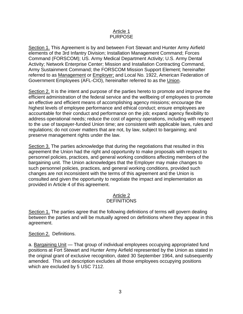#### Article 1 PURPOSE

Section 1. This Agreement is by and between Fort Stewart and Hunter Army Airfield elements of the 3rd Infantry Division; Installation Management Command; Forces Command (FORSCOM); US. Army Medical Department Activity; U.S. Army Dental Activity; Network Enterprise Center; Mission and Installation Contracting Command, Army Sustainment Command; the FORSCOM Mission Support Element; hereinafter referred to as Management or Employer; and Local No. 1922, American Federation of Government Employees (AFL-CIO), hereinafter referred to as the Union.

Section 2. It is the intent and purpose of the parties hereto to promote and improve the efficient administration of the federal service and the wellbeing of employees to promote an effective and efficient means of accomplishing agency missions; encourage the highest levels of employee performance and ethical conduct; ensure employees are accountable for their conduct and performance on the job; expand agency flexibility to address operational needs; reduce the cost of agency operations, including with respect to the use of taxpayer-funded Union time; are consistent with applicable laws, rules and regulations; do not cover matters that are not, by law, subject to bargaining; and preserve management rights under the law.

Section 3. The parties acknowledge that during the negotiations that resulted in this agreement the Union had the right and opportunity to make proposals with respect to personnel policies, practices, and general working conditions affecting members of the bargaining unit. The Union acknowledges that the Employer may make changes to such personnel policies, practices, and general working conditions, provided such changes are not inconsistent with the terms of this agreement and the Union is consulted and given the opportunity to negotiate the impact and implementation as provided in Article 4 of this agreement.

#### Article 2 **DEFINITIONS**

Section 1. The parties agree that the following definitions of terms will govern dealing between the parties and will be mutually agreed on definitions where they appear in this agreement.

## Section 2. Definitions.

a. Bargaining Unit — That group of individual employees occupying appropriated fund positions at Fort Stewart and Hunter Army Airfield represented by the Union as stated in the original grant of exclusive recognition, dated 30 September 1964, and subsequently amended. This unit description excludes all those employees occupying positions which are excluded by 5 USC 7112.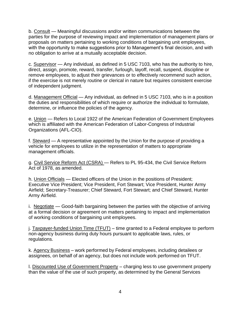b. Consult — Meaningful discussions and/or written communications between the parties for the purpose of reviewing impact and implementation of management plans or proposals on matters pertaining to working conditions of bargaining unit employees, with the opportunity to make suggestions prior to Management's final decision, and with no obligation to arrive at a mutually acceptable decision.

c. Supervisor — Any individual, as defined in 5 USC 7103, who has the authority to hire, direct, assign, promote, reward, transfer, furlough, layoff, recall, suspend, discipline or remove employees, to adjust their grievances or to effectively recommend such action, if the exercise is not merely routine or clerical in nature but requires consistent exercise of independent judgment.

d. Management Official — Any individual, as defined in 5 USC 7103, who is in a position the duties and responsibilities of which require or authorize the individual to formulate, determine, or influence the policies of the agency.

e. Union — Refers to Local 1922 of the American Federation of Government Employees which is affiliated with the American Federation of Labor-Congress of Industrial Organizations (AFL-CIO).

f. Steward — A representative appointed by the Union for the purpose of providing a vehicle for employees to utilize in the representation of matters to appropriate management officials.

g. Civil Service Reform Act (CSRA) — Refers to PL 95-434, the Civil Service Reform Act of 1978, as amended.

h. Union Officials — Elected officers of the Union in the positions of President; Executive Vice President; Vice President, Fort Stewart; Vice President, Hunter Army Airfield; Secretary-Treasurer; Chief Steward, Fort Stewart; and Chief Steward, Hunter Army Airfield.

i. Negotiate — Good-faith bargaining between the parties with the objective of arriving at a formal decision or agreement on matters pertaining to impact and implementation of working conditions of bargaining unit employees.

j. Taxpayer-funded Union Time (TFUT) – time granted to a Federal employee to perform non-agency business during duty hours pursuant to applicable laws, rules, or regulations.

k. Agency Business – work performed by Federal employees, including detailees or assignees, on behalf of an agency, but does not include work performed on TFUT.

l. Discounted Use of Government Property – charging less to use government property than the value of the use of such property, as determined by the General Services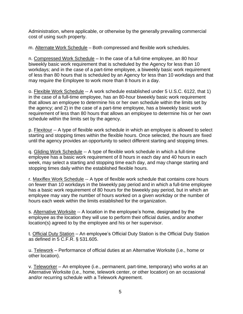Administration, where applicable, or otherwise by the generally prevailing commercial cost of using such property.

m. Alternate Work Schedule – Both compressed and flexible work schedules.

n. Compressed Work Schedule – In the case of a full-time employee, an 80 hour biweekly basic work requirement that is scheduled by the Agency for less than 10 workdays; and in the case of a part-time employee, a biweekly basic work requirement of less than 80 hours that is scheduled by an Agency for less than 10 workdays and that may require the Employee to work more than 8 hours in a day.

o. Flexible Work Schedule -- A work schedule established under 5 U.S.C. 6122, that 1) in the case of a full-time employee, has an 80-hour biweekly basic work requirement that allows an employee to determine his or her own schedule within the limits set by the agency; and 2) in the case of a part-time employee, has a biweekly basic work requirement of less than 80 hours that allows an employee to determine his or her own schedule within the limits set by the agency.

p. Flexitour -- A type of flexible work schedule in which an employee is allowed to select starting and stopping times within the flexible hours. Once selected, the hours are fixed until the agency provides an opportunity to select different starting and stopping times.

q. Gliding Work Schedule -- A type of flexible work schedule in which a full-time employee has a basic work requirement of 8 hours in each day and 40 hours in each week, may select a starting and stopping time each day, and may change starting and stopping times daily within the established flexible hours.

r. Maxiflex Work Schedule -- A type of flexible work schedule that contains core hours on fewer than 10 workdays in the biweekly pay period and in which a full-time employee has a basic work requirement of 80 hours for the biweekly pay period, but in which an employee may vary the number of hours worked on a given workday or the number of hours each week within the limits established for the organization.

s. Alternative Worksite -- A location in the employee's home, designated by the employee as the location they will use to perform their official duties, and/or another location(s) agreed to by the employee and his or her supervisor.

t. Official Duty Station – An employee's Official Duty Station is the Official Duty Station as defined in 5 C.F.R. § 531.605.

u. Telework – Performance of official duties at an Alternative Worksite (i.e., home or other location).

v. Teleworker – An employee (i.e., permanent, part-time, temporary) who works at an Alternative Worksite (i.e., home, telework center, or other location) on an occasional and/or recurring schedule with a Telework Agreement.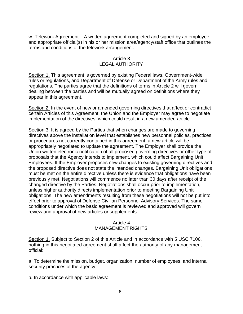w. Telework Agreement – A written agreement completed and signed by an employee and appropriate official(s) in his or her mission area/agency/staff office that outlines the terms and conditions of the telework arrangement.

### Article 3 LEGAL AUTHORITY

Section 1. This agreement is governed by existing Federal laws, Government-wide rules or regulations, and Department of Defense or Department of the Army rules and regulations. The parties agree that the definitions of terms in Article 2 will govern dealing between the parties and will be mutually agreed on definitions where they appear in this agreement.

Section 2. In the event of new or amended governing directives that affect or contradict certain Articles of this Agreement, the Union and the Employer may agree to negotiate implementation of the directives, which could result in a new amended article.

Section 3. It is agreed by the Parties that when changes are made to governing directives above the installation level that establishes new personnel policies, practices or procedures not currently contained in this agreement, a new article will be appropriately negotiated to update the agreement. The Employer shall provide the Union written electronic notification of all proposed governing directives or other type of proposals that the Agency intends to implement, which could affect Bargaining Unit Employees. If the Employer proposes new changes to existing governing directives and the proposed directive does not state the intended changes, Bargaining Unit obligations must be met on the entire directive unless there is evidence that obligations have been previously met. Negotiations will commence no later than 30 days after receipt of the changed directive by the Parties. Negotiations shall occur prior to implementation, unless higher authority directs implementation prior to meeting Bargaining Unit obligations. The new amendments resulting from these negotiations will not be put into effect prior to approval of Defense Civilian Personnel Advisory Services. The same conditions under which the basic agreement is reviewed and approved will govern review and approval of new articles or supplements.

### Article 4 MANAGEMENT RIGHTS

Section 1. Subject to Section 2 of this Article and in accordance with 5 USC 7106, nothing in this negotiated agreement shall affect the authority of any management official:

a. To determine the mission, budget, organization, number of employees, and internal security practices of the agency.

b. In accordance with applicable laws: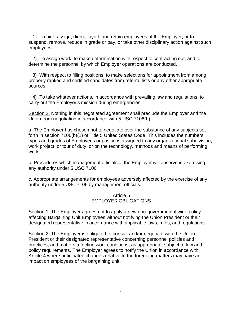1) To hire, assign, direct, layoff, and retain employees of the Employer, or to suspend, remove, reduce in grade or pay, or take other disciplinary action against such employees.

2) To assign work, to make determination with respect to contracting out, and to determine the personnel by which Employer operations are conducted.

3) With respect to filling positions, to make selections for appointment from among properly ranked and certified candidates from referral lists or any other appropriate sources.

4) To take whatever actions, in accordance with prevailing law and regulations, to carry out the Employer's mission during emergencies.

Section 2. Nothing in this negotiated agreement shall preclude the Employer and the Union from negotiating in accordance with 5 USC 7106(b):

a. The Employer has chosen not to negotiate over the substance of any subjects set forth in section 7106(b)(1) of Title 5 United States Code. This includes the numbers, types and grades of Employees or positions assigned to any organizational subdivision, work project, or tour of duty, or on the technology, methods and means of performing work.

b. Procedures which management officials of the Employer will observe in exercising any authority under 5 USC 7106.

c. Appropriate arrangements for employees adversely affected by the exercise of any authority under 5 USC 7106 by management officials.

#### Article 5 EMPLOYER OBLIGATIONS

Section 1. The Employer agrees not to apply a new non-governmental wide policy affecting Bargaining Unit Employees without notifying the Union President or their designated representative in accordance with applicable laws, rules, and regulations.

Section 2. The Employer is obligated to consult and/or negotiate with the Union President or their designated representative concerning personnel policies and practices, and matters affecting work conditions, as appropriate, subject to law and policy requirements. The Employer agrees to notify the Union in accordance with Article 4 where anticipated changes relative to the foregoing matters may have an impact on employees of the bargaining unit.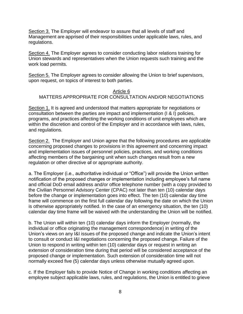Section 3. The Employer will endeavor to assure that all levels of staff and Management are apprised of their responsibilities under applicable laws, rules, and regulations.

Section 4. The Employer agrees to consider conducting labor relations training for Union stewards and representatives when the Union requests such training and the work load permits.

Section 5. The Employer agrees to consider allowing the Union to brief supervisors, upon request, on topics of interest to both parties.

#### Article 6 MATTERS APPROPRIATE FOR CONSULTATION AND/OR NEGOTIATIONS

Section 1. It is agreed and understood that matters appropriate for negotiations or consultation between the parties are impact and implementation (I & I) policies, programs, and practices affecting the working conditions of unit employees which are within the discretion and control of the Employer and in accordance with laws, rules, and regulations.

Section 2. The Employer and Union agree that the following procedures are applicable concerning proposed changes to provisions in this agreement and concerning impact and implementation issues of personnel policies, practices, and working conditions affecting members of the bargaining unit when such changes result from a new regulation or other directive of or appropriate authority.

a. The Employer (i.e., authoritative individual or "Office") will provide the Union written notification of the proposed changes or implementation including employee's full name and official DoD email address and/or office telephone number (with a copy provided to the Civilian Personnel Advisory Center (CPAC) not later than ten (10) calendar days before the change or implementation goes into effect. The ten (10) calendar day time frame will commence on the first full calendar day following the date on which the Union is otherwise appropriately notified. In the case of an emergency situation, the ten (10) calendar day time frame will be waived with the understanding the Union will be notified.

b. The Union will within ten (10) calendar days inform the Employer (normally, the individual or office originating the management correspondence) in writing of the Union's views on any I&I issues of the proposed change and indicate the Union's intent to consult or conduct I&I negotiations concerning the proposed change. Failure of the Union to respond in writing within ten (10) calendar days or request in writing an extension of consideration time during that period will be considered acceptance of the proposed change or implementation. Such extension of consideration time will not normally exceed five (5) calendar days unless otherwise mutually agreed upon.

c. If the Employer fails to provide Notice of Change in working conditions affecting an employee subject applicable laws, rules, and regulations, the Union is entitled to grieve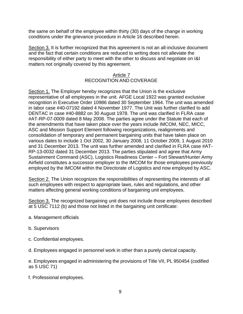the same on behalf of the employee within thirty (30) days of the change in working conditions under the grievance procedure in Article 16 described herein.

Section 3. It is further recognized that this agreement is not an all-inclusive document and the fact that certain conditions are reduced to writing does not alleviate the responsibility of either party to meet with the other to discuss and negotiate on I&I matters not originally covered by this agreement.

### Article 7 RECOGNITION AND COVERAGE

Section 1. The Employer hereby recognizes that the Union is the exclusive representative of all employees in the unit. AFGE Local 1922 was granted exclusive recognition in Executive Order 10986 dated 30 September 1964. The unit was amended in labor case #40-07192 dated 4 November 1977. The Unit was further clarified to add DENTAC in case #40-8882 on 30 August 1978. The unit was clarified in FLRA case #AT-RP-07-0009 dated 8 May 2008. The parties agree under the Statute that each of the amendments that have taken place over the years include IMCOM, NEC, MICC, ASC and Mission Support Element following reorganizations, realignments and consolidation of temporary and permanent bargaining units that have taken place on various dates to include 1 Oct 2002, 30 January 2008, 11 October 2009, 1 August 2010 and 31 December 2013. The unit was further amended and clarified in FLRA case #AT-RP-13-0032 dated 31 December 2013. The parties stipulated and agree that Army Sustainment Command (ASC), Logistics Readiness Center – Fort Stewart/Hunter Army Airfield constitutes a successor employer to the IMCOM for those employees previously employed by the IMCOM within the Directorate of Logistics and now employed by ASC.

Section 2. The Union recognizes the responsibilities of representing the interests of all such employees with respect to appropriate laws, rules and regulations, and other matters affecting general working conditions of bargaining unit employees.

Section 3. The recognized bargaining unit does not include those employees described at 5 USC 7112 (b) and those not listed in the bargaining unit certificate:

- a. Management officials
- b. Supervisors
- c. Confidential employees.
- d. Employees engaged in personnel work in other than a purely clerical capacity.

e. Employees engaged in administering the provisions of Title VII, PL 950454 (codified as 5 USC 71)

f. Professional employees.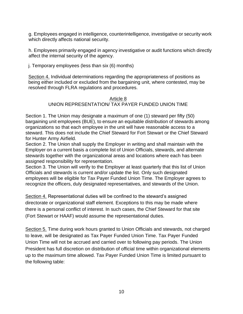g. Employees engaged in intelligence, counterintelligence, investigative or security work which directly affects national security.

h. Employees primarily engaged in agency investigative or audit functions which directly affect the internal security of the agency.

j. Temporary employees (less than six (6) months)

Section 4. Individual determinations regarding the appropriateness of positions as being either included or excluded from the bargaining unit, where contested, may be resolved through FLRA regulations and procedures.

# Article 8 UNION REPRESENTATION/ TAX PAYER FUNDED UNION TIME

Section 1. The Union may designate a maximum of one (1) steward per fifty (50) bargaining unit employees (BUE), to ensure an equitable distribution of stewards among organizations so that each employee in the unit will have reasonable access to a steward. This does not include the Chief Steward for Fort Stewart or the Chief Steward for Hunter Army Airfield.

Section 2. The Union shall supply the Employer in writing and shall maintain with the Employer on a current basis a complete list of Union Officials, stewards, and alternate stewards together with the organizational areas and locations where each has been assigned responsibility for representation.

Section 3. The Union will verify to the Employer at least quarterly that this list of Union Officials and stewards is current and/or update the list. Only such designated employees will be eligible for Tax Payer Funded Union Time. The Employer agrees to recognize the officers, duly designated representatives, and stewards of the Union.

Section 4. Representational duties will be confined to the steward's assigned directorate or organizational staff element. Exceptions to this may be made where there is a personal conflict of interest. In such cases, the Chief Steward for that site (Fort Stewart or HAAF) would assume the representational duties.

Section 5. Time during work hours granted to Union Officials and stewards, not charged to leave, will be designated as Tax Payer Funded Union Time. Tax Payer Funded Union Time will not be accrued and carried over to following pay periods. The Union President has full discretion on distribution of official time within organizational elements up to the maximum time allowed. Tax Payer Funded Union Time is limited pursuant to the following table: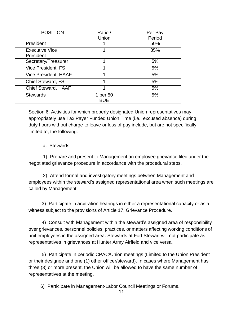| <b>POSITION</b>             | Ratio /    | Per Pay |
|-----------------------------|------------|---------|
|                             | Union      | Period  |
| President                   |            | 50%     |
| <b>Executive Vice</b>       |            | 35%     |
| President                   |            |         |
| Secretary/Treasurer         |            | 5%      |
| Vice President, FS          |            | 5%      |
| <b>Vice President, HAAF</b> |            | 5%      |
| <b>Chief Steward, FS</b>    |            | 5%      |
| <b>Chief Steward, HAAF</b>  |            | 5%      |
| <b>Stewards</b>             | 1 per 50   | 5%      |
|                             | <b>BUE</b> |         |

Section 6. Activities for which properly designated Union representatives may appropriately use Tax Payer Funded Union Time (i.e., excused absence) during duty hours without charge to leave or loss of pay include, but are not specifically limited to, the following:

# a. Stewards:

1) Prepare and present to Management an employee grievance filed under the negotiated grievance procedure in accordance with the procedural steps.

2) Attend formal and investigatory meetings between Management and employees within the steward's assigned representational area when such meetings are called by Management.

3) Participate in arbitration hearings in either a representational capacity or as a witness subject to the provisions of Article 17, Grievance Procedure.

4) Consult with Management within the steward's assigned area of responsibility over grievances, personnel policies, practices, or matters affecting working conditions of unit employees in the assigned area. Stewards at Fort Stewart will not participate as representatives in grievances at Hunter Army Airfield and vice versa.

5) Participate in periodic CPAC/Union meetings (Limited to the Union President or their designee and one (1) other officer/steward). In cases where Management has three (3) or more present, the Union will be allowed to have the same number of representatives at the meeting.

6) Participate in Management-Labor Council Meetings or Forums.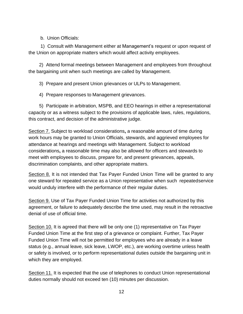b. Union Officials:

1) Consult with Management either at Management's request or upon request of the Union on appropriate matters which would affect activity employees.

2) Attend formal meetings between Management and employees from throughout the bargaining unit when such meetings are called by Management.

3) Prepare and present Union grievances or ULPs to Management.

4) Prepare responses to Management grievances.

5) Participate in arbitration, MSPB, and EEO hearings in either a representational capacity or as a witness subject to the provisions of applicable laws, rules, regulations, this contract, and decision of the administrative judge.

Section 7. Subject to workload considerations**,** a reasonable amount of time during work hours may be granted to Union Officials, stewards, and aggrieved employees for attendance at hearings and meetings with Management. Subject to workload considerations**,** a reasonable time may also be allowed for officers and stewards to meet with employees to discuss, prepare for, and present grievances, appeals, discrimination complaints, and other appropriate matters.

Section 8. It is not intended that Tax Payer Funded Union Time will be granted to any one steward for repeated service as a Union representative when such repeated service would unduly interfere with the performance of their regular duties.

Section 9. Use of Tax Payer Funded Union Time for activities not authorized by this agreement, or failure to adequately describe the time used, may result in the retroactive denial of use of official time.

Section 10. It is agreed that there will be only one (1) representative on Tax Payer Funded Union Time at the first step of a grievance or complaint. Further, Tax Payer Funded Union Time will not be permitted for employees who are already in a leave status (e.g., annual leave, sick leave, LWOP, etc.), are working overtime unless health or safety is involved, or to perform representational duties outside the bargaining unit in which they are employed.

Section 11. It is expected that the use of telephones to conduct Union representational duties normally should not exceed ten (10) minutes per discussion.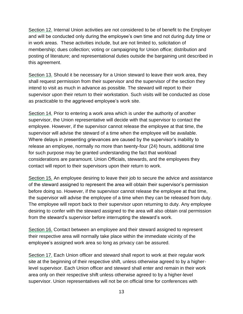Section 12. Internal Union activities are not considered to be of benefit to the Employer and will be conducted only during the employee's own time and not during duty time or in work areas. These activities include, but are not limited to, solicitation of membership; dues collection; voting or campaigning for Union office; distribution and posting of literature; and representational duties outside the bargaining unit described in this agreement.

Section 13. Should it be necessary for a Union steward to leave their work area, they shall request permission from their supervisor and the supervisor of the section they intend to visit as much in advance as possible. The steward will report to their supervisor upon their return to their workstation. Such visits will be conducted as close as practicable to the aggrieved employee's work site.

Section 14. Prior to entering a work area which is under the authority of another supervisor, the Union representative will decide with that supervisor to contact the employee. However, if the supervisor cannot release the employee at that time, the supervisor will advise the steward of a time when the employee will be available. Where delays in presenting grievances are caused by the supervisor's inability to release an employee, normally no more than twenty-four (24) hours, additional time for such purpose may be granted understanding the fact that workload considerations are paramount. Union Officials, stewards, and the employees they contact will report to their supervisors upon their return to work.

Section 15. An employee desiring to leave their job to secure the advice and assistance of the steward assigned to represent the area will obtain their supervisor's permission before doing so. However, if the supervisor cannot release the employee at that time, the supervisor will advise the employee of a time when they can be released from duty. The employee will report back to their supervisor upon returning to duty. Any employee desiring to confer with the steward assigned to the area will also obtain oral permission from the steward's supervisor before interrupting the steward's work.

Section 16. Contact between an employee and their steward assigned to represent their respective area will normally take place within the immediate vicinity of the employee's assigned work area so long as privacy can be assured.

Section 17. Each Union officer and steward shall report to work at their regular work site at the beginning of their respective shift, unless otherwise agreed to by a higherlevel supervisor. Each Union officer and steward shall enter and remain in their work area only on their respective shift unless otherwise agreed to by a higher-level supervisor. Union representatives will not be on official time for conferences with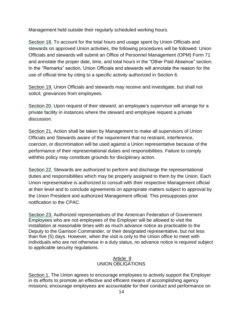Management held outside their regularly scheduled working hours.

Section 18. To account for the total hours and usage spent by Union Officials and stewards on approved Union activities, the following procedures will be followed: Union Officials and stewards will submit an Office of Personnel Management (OPM) Form 71 and annotate the proper date, time, and total hours in the "Other Paid Absence" section. In the "Remarks" section, Union Officials and stewards will annotate the reason for the use of official time by citing to a specific activity authorized in Section 6.

Section 19. Union Officials and stewards may receive and investigate, but shall not solicit, grievances from employees.

Section 20. Upon request of their steward, an employee's supervisor will arrange for a private facility in instances where the steward and employee request a private discussion.

Section 21. Action shall be taken by Management to make all supervisors of Union Officials and Stewards aware of the requirement that no restraint, interference, coercion, or discrimination will be used against a Union representative because of the performance of their representational duties and responsibilities. Failure to comply withthis policy may constitute grounds for disciplinary action.

Section 22. Stewards are authorized to perform and discharge the representational duties and responsibilities which may be properly assigned to them by the Union. Each Union representative is authorized to consult with their respective Management official at their level and to conclude agreements on appropriate matters subject to approval by the Union President and authorized Management official. This presupposes prior notification to the CPAC.

Section 23. Authorized representatives of the American Federation of Government Employees who are not employees of the Employer will be allowed to visit the installation at reasonable times with as much advance notice as practicable to the Deputy to the Garrison Commander, or their designated representative, but not less than five (5) days. However, when the visit is only to the Union office to meet with individuals who are not otherwise in a duty status, no advance notice is required subject to applicable security regulations.

### Article 9 UNION OBLIGATIONS

Section 1. The Union agrees to encourage employees to actively support the Employer in its efforts to promote an effective and efficient means of accomplishing agency missions; encourage employees are accountable for their conduct and performance on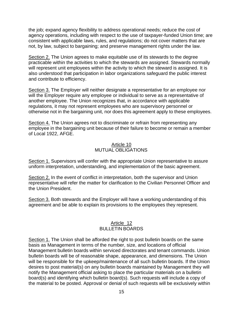the job; expand agency flexibility to address operational needs; reduce the cost of agency operations, including with respect to the use of taxpayer-funded Union time; are consistent with applicable laws, rules, and regulations; do not cover matters that are not, by law, subject to bargaining; and preserve management rights under the law.

Section 2. The Union agrees to make equitable use of its stewards to the degree practicable within the activities to which the stewards are assigned. Stewards normally will represent unit employees within the activity to which the steward is assigned. It is also understood that participation in labor organizations safeguard the public interest and contribute to efficiency.

Section 3. The Employer will neither designate a representative for an employee nor will the Employer require any employee or individual to serve as a representative of another employee. The Union recognizes that, in accordance with applicable regulations, it may not represent employees who are supervisory personnel or otherwise not in the bargaining unit, nor does this agreement apply to these employees.

Section 4. The Union agrees not to discriminate or refrain from representing any employee in the bargaining unit because of their failure to become or remain a member of Local 1922, AFGE.

#### Article 10 MUTUAL OBLIGATIONS

Section 1. Supervisors will confer with the appropriate Union representative to assure uniform interpretation, understanding, and implementation of the basic agreement.

Section 2. In the event of conflict in interpretation, both the supervisor and Union representative will refer the matter for clarification to the Civilian Personnel Officer and the Union President.

Section 3. Both stewards and the Employer will have a working understanding of this agreement and be able to explain its provisions to the employees they represent.

#### Article 12 BULLETIN BOARDS

Section 1. The Union shall be afforded the right to post bulletin boards on the same basis as Management in terms of the number, size, and locations of official Management bulletin boards within serviced directorates and tenant commands. Union bulletin boards will be of reasonable shape, appearance, and dimensions. The Union will be responsible for the upkeep/maintenance of all such bulletin boards. If the Union desires to post material(s) on any bulletin boards maintained by Management they will notify the Management official asking to place the particular materials on a bulletin board(s) and identifying which bulletin board(s). Such requests will include a copy of the material to be posted. Approval or denial of such requests will be exclusively within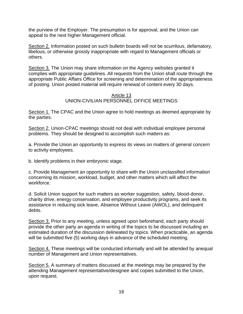the purview of the Employer. The presumption is for approval, and the Union can appeal to the next higher Management official.

Section 2. Information posted on such bulletin boards will not be scurrilous, defamatory, libelous, or otherwise grossly inappropriate with regard to Management officials or others.

Section 3. The Union may share information on the Agency websites granted it complies with appropriate guidelines. All requests from the Union shall route through the appropriate Public Affairs Office for screening and determination of the appropriateness of posting. Union posted material will require renewal of content every 30 days.

### Article 13 UNION-CIVILIAN PERSONNEL OFFICE MEETINGS

Section 1. The CPAC and the Union agree to hold meetings as deemed appropriate by the parties.

Section 2. Union-CPAC meetings should not deal with individual employee personal problems. They should be designed to accomplish such matters as:

a. Provide the Union an opportunity to express its views on matters of general concern to activity employees.

b. Identify problems in their embryonic stage.

c. Provide Management an opportunity to share with the Union unclassified information concerning its mission, workload, budget, and other matters which will affect the workforce.

d. Solicit Union support for such matters as worker suggestion, safety, blood-donor, charity drive, energy conservation, and employee productivity programs, and seek its assistance in reducing sick leave, Absence Without Leave (AWOL), and delinquent debts.

Section 3. Prior to any meeting, unless agreed upon beforehand, each party should provide the other party an agenda in writing of the topics to be discussed including an estimated duration of the discussion delineated by topics. When practicable, an agenda will be submitted five (5) working days in advance of the scheduled meeting.

Section 4. These meetings will be conducted informally and will be attended by anequal number of Management and Union representatives.

Section 5. A summary of matters discussed at the meetings may be prepared by the attending Management representative/designee and copies submitted to the Union, upon request.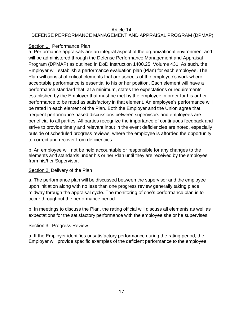#### Article 14 DEFENSE PERFORMANCE MANAGEMENT AND APPRAISAL PROGRAM (DPMAP)

# Section 1. Performance Plan

a. Performance appraisals are an integral aspect of the organizational environment and will be administered through the Defense Performance Management and Appraisal Program (DPMAP) as outlined in DoD Instruction 1400.25, Volume 431. As such, the Employer will establish a performance evaluation plan (Plan) for each employee. The Plan will consist of critical elements that are aspects of the employee's work where acceptable performance is essential to his or her position. Each element will have a performance standard that, at a minimum, states the expectations or requirements established by the Employer that must be met by the employee in order for his or her performance to be rated as satisfactory in that element. An employee's performance will be rated in each element of the Plan. Both the Employer and the Union agree that frequent performance based discussions between supervisors and employees are beneficial to all parties. All parties recognize the importance of continuous feedback and strive to provide timely and relevant input in the event deficiencies are noted, especially outside of scheduled progress reviews, where the employee is afforded the opportunity to correct and recover from deficiencies.

b. An employee will not be held accountable or responsible for any changes to the elements and standards under his or her Plan until they are received by the employee from his/her Supervisor.

## Section 2. Delivery of the Plan

a. The performance plan will be discussed between the supervisor and the employee upon initiation along with no less than one progress review generally taking place midway through the appraisal cycle. The monitoring of one's performance plan is to occur throughout the performance period.

b. In meetings to discuss the Plan, the rating official will discuss all elements as well as expectations for the satisfactory performance with the employee she or he supervises.

# Section 3. Progress Review

a. If the Employer identifies unsatisfactory performance during the rating period, the Employer will provide specific examples of the deficient performance to the employee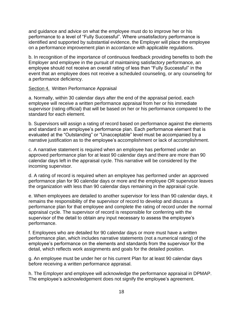and guidance and advice on what the employee must do to improve her or his performance to a level of "Fully Successful". Where unsatisfactory performance is identified and supported by substantial evidence, the Employer will place the employee on a performance improvement plan in accordance with applicable regulations.

b. In recognition of the importance of continuous feedback providing benefits to both the Employer and employee in the pursuit of maintaining satisfactory performance, an employee should not receive an overall rating of less than "Fully Successful" in the event that an employee does not receive a scheduled counseling, or any counseling for a performance deficiency.

#### Section 4. Written Performance Appraisal

a. Normally, within 30 calendar days after the end of the appraisal period, each employee will receive a written performance appraisal from her or his immediate supervisor (rating official) that will be based on her or his performance compared to the standard for each element.

b. Supervisors will assign a rating of record based on performance against the elements and standard in an employee's performance plan. Each performance element that is evaluated at the "Outstanding" or "Unacceptable" level must be accompanied by a narrative justification as to the employee's accomplishment or lack of accomplishment.

c. A narrative statement is required when an employee has performed under an approved performance plan for at least 90 calendar days and there are more than 90 calendar days left in the appraisal cycle. This narrative will be considered by the incoming supervisor.

d. A rating of record is required when an employee has performed under an approved performance plan for 90 calendar days or more and the employee OR supervisor leaves the organization with less than 90 calendar days remaining in the appraisal cycle.

e. When employees are detailed to another supervisor for less than 90 calendar days, it remains the responsibility of the supervisor of record to develop and discuss a performance plan for that employee and complete the rating of record under the normal appraisal cycle. The supervisor of record is responsible for conferring with the supervisor of the detail to obtain any input necessary to assess the employee's performance.

f. Employees who are detailed for 90 calendar days or more must have a written performance plan, which includes narrative statements (not a numerical rating) of the employee's performance on the elements and standards from the supervisor for the detail, which reflects work assignments and goals for the detailed position.

g. An employee must be under her or his current Plan for at least 90 calendar days before receiving a written performance appraisal.

h. The Employer and employee will acknowledge the performance appraisal in DPMAP. The employee's acknowledgement does not signify the employee's agreement.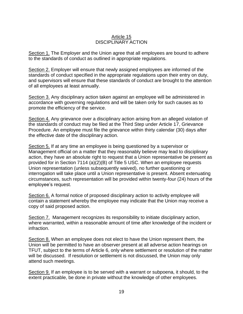#### Article 15 DISCIPLINARY ACTION

Section 1. The Employer and the Union agree that all employees are bound to adhere to the standards of conduct as outlined in appropriate regulations.

Section 2. Employer will ensure that newly assigned employees are informed of the standards of conduct specified in the appropriate regulations upon their entry on duty, and supervisors will ensure that these standards of conduct are brought to the attention of all employees at least annually.

Section 3. Any disciplinary action taken against an employee will be administered in accordance with governing regulations and will be taken only for such causes as to promote the efficiency of the service.

Section 4. Any grievance over a disciplinary action arising from an alleged violation of the standards of conduct may be filed at the Third Step under Article 17, Grievance Procedure. An employee must file the grievance within thirty calendar (30) days after the effective date of the disciplinary action.

Section 5. If at any time an employee is being questioned by a supervisor or Management official on a matter that they reasonably believe may lead to disciplinary action, they have an absolute right to request that a Union representative be present as provided for in Section 7114 (a)(2)(B) of Title 5 USC. When an employee requests Union representation (unless subsequently waived), no further questioning or interrogation will take place until a Union representative is present. Absent extenuating circumstances, such representation will be provided within twenty-four (24) hours of the employee's request.

Section 6. A formal notice of proposed disciplinary action to activity employee will contain a statement whereby the employee may indicate that the Union may receive a copy of said proposed action.

Section 7. Management recognizes its responsibility to initiate disciplinary action, where warranted, within a reasonable amount of time after knowledge of the incident or infraction.

Section 8. When an employee does not elect to have the Union represent them, the Union will be permitted to have an observer present at all adverse action hearings on TFUT, subject to the terms of Article 6, only where settlement or resolution of the matter will be discussed. If resolution or settlement is not discussed, the Union may only attend such meetings.

Section 9. If an employee is to be served with a warrant or subpoena, it should, to the extent practicable, be done in private without the knowledge of other employees.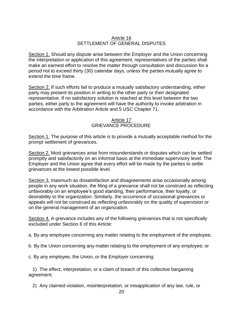### Article 16 SETTLEMENT OF GENERAL DISPUTES

Section 1. Should any dispute arise between the Employer and the Union concerning the interpretation or application of this agreement, representatives of the parties shall make an earnest effort to resolve the matter through consultation and discussion for a period not to exceed thirty (30) calendar days, unless the parties mutually agree to extend the time frame.

Section 2. If such efforts fail to produce a mutually satisfactory understanding, either party may present its position in writing to the other party or their designated representative. If no satisfactory solution is reached at this level between the two parties, either party to the agreement will have the authority to invoke arbitration in accordance with the Arbitration Article and 5 USC Chapter 71.

#### Article 17 GRIEVANCE PROCEDURE

Section 1. The purpose of this article is to provide a mutually acceptable method for the prompt settlement of grievances.

Section 2. Most grievances arise from misunderstands or disputes which can be settled promptly and satisfactorily on an informal basis at the immediate supervisory level. The Employer and the Union agree that every effort will be made by the parties to settle grievances at the lowest possible level.

Section 3. Inasmuch as dissatisfaction and disagreements arise occasionally among people in any work situation, the filing of a grievance shall not be construed as reflecting unfavorably on an employee's good standing, their performance, their loyalty, or desirability to the organization. Similarly, the occurrence of occasional grievances or appeals will not be construed as reflecting unfavorably on the quality of supervision or on the general management of an organization.

Section 4. A grievance includes any of the following grievances that is not specifically excluded under Section 6 of this Article:

a. By any employee concerning any matter relating to the employment of the employee;

b. By the Union concerning any matter relating to the employment of any employee; or

c. By any employee, the Union, or the Employer concerning:

1) The effect, interpretation, or a claim of breach of this collective bargaining agreement;

2) Any claimed violation, misinterpretation, or misapplication of any law, rule, or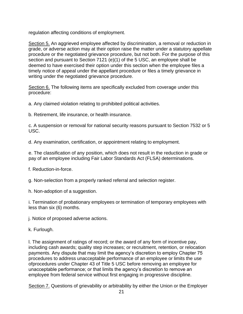regulation affecting conditions of employment.

Section 5. An aggrieved employee affected by discrimination, a removal or reduction in grade, or adverse action may at their option raise the matter under a statutory appellate procedure or the negotiated grievance procedure, but not both. For the purpose of this section and pursuant to Section 7121 (e)(1) of the 5 USC, an employee shall be deemed to have exercised their option under this section when the employee files a timely notice of appeal under the appellant procedure or files a timely grievance in writing under the negotiated grievance procedure.

Section 6. The following items are specifically excluded from coverage under this procedure:

a. Any claimed violation relating to prohibited political activities.

b. Retirement, life insurance, or health insurance.

c. A suspension or removal for national security reasons pursuant to Section 7532 or 5 USC.

d. Any examination, certification, or appointment relating to employment.

e. The classification of any position, which does not result in the reduction in grade or pay of an employee including Fair Labor Standards Act (FLSA) determinations.

f. Reduction-in-force.

g. Non-selection from a properly ranked referral and selection register.

h. Non-adoption of a suggestion.

i. Termination of probationary employees or termination of temporary employees with less than six (6) months.

j. Notice of proposed adverse actions.

k. Furlough.

l. The assignment of ratings of record; or the award of any form of incentive pay, including cash awards; quality step increases; or recruitment, retention, or relocation payments. Any dispute that may limit the agency's discretion to employ Chapter 75 procedures to address unacceptable performance of an employee or limits the use ofprocedures under Chapter 43 of Title 5 USC before removing an employee for unacceptable performance; or that limits the agency's discretion to remove an employee from federal service without first engaging in progressive discipline.

Section 7. Questions of grievability or arbitrability by either the Union or the Employer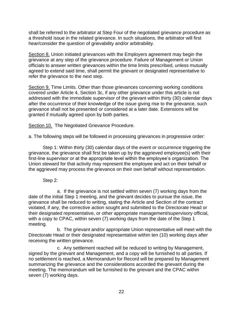shall be referred to the arbitrator at Step Four of the negotiated grievance procedure as a threshold issue in the related grievance. In such situations, the arbitrator will first hear/consider the question of grievability and/or arbitrability.

Section 8. Union initiated grievances with the Employers agreement may begin the grievance at any step of the grievance procedure. Failure of Management or Union officials to answer written grievances within the time limits prescribed, unless mutually agreed to extend said time, shall permit the grievant or designated representative to refer the grievance to the next step.

Section 9. Time Limits. Other than those grievances concerning working conditions covered under Article 4, Section 3c, if any other grievance under this article is not addressed with the immediate supervisor of the grievant within thirty (30) calendar days after the occurrence of their knowledge of the issue giving rise to the grievance, such grievance shall not be presented or considered at a later date. Extensions will be granted if mutually agreed upon by both parties.

Section 10. The Negotiated Grievance Procedure.

a. The following steps will be followed in processing grievances in progressive order:

Step 1: Within thirty (30) calendar days of the event or occurrence triggering the grievance, the grievance shall first be taken up by the aggrieved employee(s) with their first-line supervisor or at the appropriate level within the employee's organization. The Union steward for that activity may represent the employee and act on their behalf or the aggrieved may process the grievance on their own behalf without representation.

Step 2:

a. If the grievance is not settled within seven (7) working days from the date of the initial Step 1 meeting, and the grievant decides to pursue the issue, the grievance shall be reduced to writing, stating the Article and Section of the contract violated, if any, the corrective action sought and submitted to the Directorate Head or their designated representative, or other appropriate management/supervisory official, with a copy to CPAC, within seven (7) working days from the date of the Step 1 meeting.

b. The grievant and/or appropriate Union representative will meet with the Directorate Head or their designated representative within ten (10) working days after receiving the written grievance.

c. Any settlement reached will be reduced to writing by Management, signed by the grievant and Management, and a copy will be furnished to all parties. If no settlement is reached, a Memorandum for Record will be prepared by Management summarizing the grievance and the considerations accorded the grievant during the meeting. The memorandum will be furnished to the grievant and the CPAC within seven (7) working days.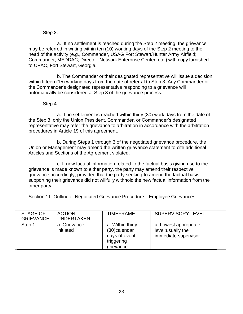### Step 3:

a. If no settlement is reached during the Step 2 meeting, the grievance may be referred in writing within ten (10) working days of the Step 2 meeting to the head of the activity (e.g., Commander, USAG Fort Stewart/Hunter Army Airfield; Commander, MEDDAC; Director, Network Enterprise Center, etc.) with copy furnished to CPAC, Fort Stewart, Georgia.

b. The Commander or their designated representative will issue a decision within fifteen (15) working days from the date of referral to Step 3. Any Commander or the Commander's designated representative responding to a grievance will automatically be considered at Step 3 of the grievance process.

Step 4:

Г

a. If no settlement is reached within thirty (30) work days from the date of the Step 3, only the Union President, Commander, or Commander's designated representative may refer the grievance to arbitration in accordance with the arbitration procedures in Article 19 of this agreement.

b. During Steps 1 through 3 of the negotiated grievance procedure, the Union or Management may amend the written grievance statement to cite additional Articles and Sections of the Agreement violated.

c. If new factual information related to the factual basis giving rise to the grievance is made known to either party, the party may amend their respective grievance accordingly, provided that the party seeking to amend the factual basis supporting their grievance did not willfully withhold the new factual information from the other party.

Section 11. Outline of Negotiated Grievance Procedure—Employee Grievances.

| <b>STAGE OF</b><br><b>GRIEVANCE</b> | <b>ACTION</b><br><b>UNDERTAKEN</b> | <b>TIMEFRAME</b>                                                             | <b>SUPERVISORY LEVEL</b>                                            |
|-------------------------------------|------------------------------------|------------------------------------------------------------------------------|---------------------------------------------------------------------|
| Step 1:                             | a. Grievance<br>initiated          | a. Within thirty<br>(30)calendar<br>days of event<br>triggering<br>grievance | a. Lowest appropriate<br>level; usually the<br>immediate supervisor |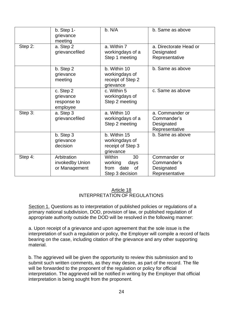|         | $b.$ Step 1-<br>grievance<br>meeting              | b. N/A                                                                       | b. Same as above                                               |
|---------|---------------------------------------------------|------------------------------------------------------------------------------|----------------------------------------------------------------|
| Step 2: | a. Step 2<br>grievancefiled                       | a. Within 7<br>workingdays of a<br>Step 1 meeting                            | a. Directorate Head or<br>Designated<br>Representative         |
|         | b. Step 2<br>grievance<br>meeting                 | b. Within 10<br>workingdays of<br>receipt of Step 2<br>grievance             | b. Same as above                                               |
|         | c. Step 2<br>grievance<br>response to<br>employee | c. Within 5<br>workingdays of<br>Step 2 meeting                              | c. Same as above                                               |
| Step 3: | a. Step 3<br>grievancefiled                       | a. Within 10<br>workingdays of a<br>Step 2 meeting                           | a. Commander or<br>Commander's<br>Designated<br>Representative |
|         | b. Step 3<br>grievance<br>decision                | b. Within 15<br>workingdays of<br>receipt of Step 3<br>grievance             | b. Same as above                                               |
| Step 4: | Arbitration<br>invokedby Union<br>or Management   | <b>Within</b><br>30<br>working<br>days<br>from date<br>0f<br>Step 3 decision | Commander or<br>Commander's<br>Designated<br>Representative    |

#### Article 18 INTERPRETATION OF REGULATIONS

Section 1. Questions as to interpretation of published policies or regulations of a primary national subdivision, DOD, provision of law, or published regulation of appropriate authority outside the DOD will be resolved in the following manner:

a. Upon receipt of a grievance and upon agreement that the sole issue is the interpretation of such a regulation or policy, the Employer will compile a record of facts bearing on the case, including citation of the grievance and any other supporting material.

b. The aggrieved will be given the opportunity to review this submission and to submit such written comments, as they may desire, as part of the record. The file will be forwarded to the proponent of the regulation or policy for official interpretation. The aggrieved will be notified in writing by the Employer that official interpretation is being sought from the proponent.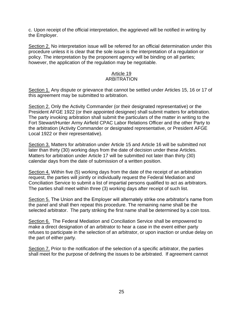c. Upon receipt of the official interpretation, the aggrieved will be notified in writing by the Employer.

Section 2. No interpretation issue will be referred for an official determination under this procedure unless it is clear that the sole issue is the interpretation of a regulation or policy. The interpretation by the proponent agency will be binding on all parties; however, the application of the regulation may be negotiable.

#### Article 19 ARBITRATION

Section 1. Any dispute or grievance that cannot be settled under Articles 15, 16 or 17 of this agreement may be submitted to arbitration.

Section 2. Only the Activity Commander (or their designated representative) or the President AFGE 1922 (or their appointed designee) shall submit matters for arbitration. The party invoking arbitration shall submit the particulars of the matter in writing to the Fort Stewart/Hunter Army Airfield CPAC Labor Relations Officer and the other Party to the arbitration (Activity Commander or designated representative, or President AFGE Local 1922 or their representative).

Section 3. Matters for arbitration under Article 15 and Article 16 will be submitted not later than thirty (30) working days from the date of decision under these Articles. Matters for arbitration under Article 17 will be submitted not later than thirty (30) calendar days from the date of submission of a written position.

Section 4. Within five (5) working days from the date of the receipt of an arbitration request, the parties will jointly or individually request the Federal Mediation and Conciliation Service to submit a list of impartial persons qualified to act as arbitrators. The parties shall meet within three (3) working days after receipt of such list.

Section 5. The Union and the Employer will alternately strike one arbitrator's name from the panel and shall then repeat this procedure. The remaining name shall be the selected arbitrator. The party striking the first name shall be determined by a coin toss.

Section 6. The Federal Mediation and Conciliation Service shall be empowered to make a direct designation of an arbitrator to hear a case in the event either party refuses to participate in the selection of an arbitrator, or upon inaction or undue delay on the part of either party.

Section 7. Prior to the notification of the selection of a specific arbitrator, the parties shall meet for the purpose of defining the issues to be arbitrated. If agreement cannot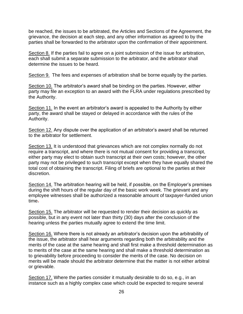be reached, the issues to be arbitrated, the Articles and Sections of the Agreement, the grievance, the decision at each step, and any other information as agreed to by the parties shall be forwarded to the arbitrator upon the confirmation of their appointment.

Section 8. If the parties fail to agree on a joint submission of the issue for arbitration, each shall submit a separate submission to the arbitrator, and the arbitrator shall determine the issues to be heard.

Section 9. The fees and expenses of arbitration shall be borne equally by the parties.

Section 10. The arbitrator's award shall be binding on the parties. However, either party may file an exception to an award with the FLRA under regulations prescribed by the Authority.

Section 11. In the event an arbitrator's award is appealed to the Authority by either party, the award shall be stayed or delayed in accordance with the rules of the Authority.

Section 12. Any dispute over the application of an arbitrator's award shall be returned to the arbitrator for settlement.

Section 13. It is understood that grievances which are not complex normally do not require a transcript, and where there is not mutual consent for providing a transcript, either party may elect to obtain such transcript at their own costs; however, the other party may not be privileged to such transcript except when they have equally shared the total cost of obtaining the transcript. Filing of briefs are optional to the parties at their discretion.

Section 14. The arbitration hearing will be held, if possible, on the Employer's premises during the shift hours of the regular day of the basic work week. The grievant and any employee witnesses shall be authorized a reasonable amount of taxpayer-funded union time.

Section 15. The arbitrator will be requested to render their decision as quickly as possible, but in any event not later than thirty (30) days after the conclusion of the hearing unless the parties mutually agree to extend the time limit.

Section 16. Where there is not already an arbitrator's decision upon the arbitrability of the issue, the arbitrator shall hear arguments regarding both the arbitrability and the merits of the case at the same hearing and shall first make a threshold determination as to merits of the case at the same hearing and shall make a threshold determination as to grievability before proceeding to consider the merits of the case. No decision on merits will be made should the arbitrator determine that the matter is not either arbitral or grievable.

Section 17. Where the parties consider it mutually desirable to do so, e.g., in an instance such as a highly complex case which could be expected to require several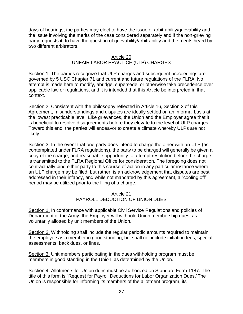days of hearings, the parties may elect to have the issue of arbitrability/grievability and the issue involving the merits of the case considered separately and if the non-grieving party requests it, to have the question of grievability/arbitrability and the merits heard by two different arbitrators.

### Article 20 UNFAIR LABOR PRACTICE (ULP) CHARGES

Section 1. The parties recognize that ULP charges and subsequent proceedings are governed by 5 USC Chapter 71 and current and future regulations of the FLRA. No attempt is made here to modify, abridge, supersede, or otherwise take precedence over applicable law or regulations, and it is intended that this Article be interpreted in that context.

Section 2. Consistent with the philosophy reflected in Article 16, Section 2 of this Agreement, misunderstandings and disputes are ideally settled on an informal basis at the lowest practicable level. Like grievances, the Union and the Employer agree that it is beneficial to resolve disagreements before they elevate to the level of ULP charges. Toward this end, the parties will endeavor to create a climate whereby ULPs are not likely.

Section 3. In the event that one party does intend to charge the other with an ULP (as contemplated under FLRA regulations), the party to be charged will generally be given a copy of the charge, and reasonable opportunity to attempt resolution before the charge is transmitted to the FLRA Regional Office for consideration. The foregoing does not contractually bind either party to this course of action in any particular instance where an ULP charge may be filed, but rather, is an acknowledgement that disputes are best addressed in their infancy, and while not mandated by this agreement, a "cooling off" period may be utilized prior to the filing of a charge.

#### Article 21 PAYROLL DEDUCTION OF UNION DUES

Section 1. In conformance with applicable Civil Service Regulations and policies of Department of the Army, the Employer will withhold Union membership dues, as voluntarily allotted by unit members of the Union.

Section 2. Withholding shall include the regular periodic amounts required to maintain the employee as a member in good standing, but shall not include initiation fees, special assessments, back dues, or fines.

Section 3. Unit members participating in the dues withholding program must be members in good standing in the Union, as determined by the Union.

Section 4. Allotments for Union dues must be authorized on Standard Form 1187. The title of this form is "Request for Payroll Deductions for Labor Organization Dues."The Union is responsible for informing its members of the allotment program, its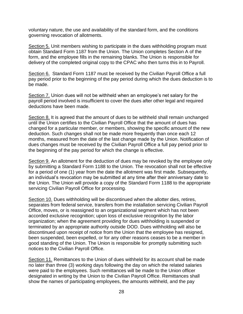voluntary nature, the use and availability of the standard form, and the conditions governing revocation of allotments.

Section 5. Unit members wishing to participate in the dues withholding program must obtain Standard Form 1187 from the Union. The Union completes Section A of the form, and the employee fills in the remaining blanks. The Union is responsible for delivery of the completed original copy to the CPAC who then turns this in to Payroll.

Section 6. Standard Form 1187 must be received by the Civilian Payroll Office a full pay period prior to the beginning of the pay period during which the dues deduction is to be made.

Section 7. Union dues will not be withheld when an employee's net salary for the payroll period involved is insufficient to cover the dues after other legal and required deductions have been made.

Section 8. It is agreed that the amount of dues to be withheld shall remain unchanged until the Union certifies to the Civilian Payroll Office that the amount of dues has changed for a particular member, or members, showing the specific amount of the new deduction. Such changes shall not be made more frequently than once each 12 months, measured from the date of the last change made by the Union. Notification of dues changes must be received by the Civilian Payroll Office a full pay period prior to the beginning of the pay period for which the change is effective.

Section 9. An allotment for the deduction of dues may be revoked by the employee only by submitting a Standard Form 1188 to the Union. The revocation shall not be effective for a period of one (1) year from the date the allotment was first made. Subsequently, an individual's revocation may be submitted at any time after their anniversary date to the Union. The Union will provide a copy of the Standard Form 1188 to the appropriate servicing Civilian Payroll Office for processing.

Section 10. Dues withholding will be discontinued when the allotter dies, retires, separates from federal service, transfers from the installation servicing Civilian Payroll Office, moves, or is reassigned to an organizational segment which has not been accorded exclusive recognition; upon loss of exclusive recognition by the labor organization; when the agreement providing for dues withholding is suspended or terminated by an appropriate authority outside DOD. Dues withholding will also be discontinued upon receipt of notice from the Union that the employee has resigned, been suspended, been expelled, or for any other reasons ceases to be a member in good standing of the Union. The Union is responsible for promptly submitting such notices to the Civilian Payroll Office.

Section 11. Remittances to the Union of dues withheld for its account shall be made no later than three (3) working days following the day on which the related salaries were paid to the employees. Such remittances will be made to the Union officer designated in writing by the Union to the Civilian Payroll Office. Remittances shall show the names of participating employees, the amounts withheld, and the pay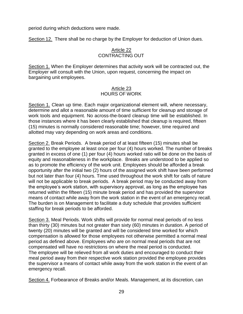period during which deductions were made.

Section 12. There shall be no charge by the Employer for deduction of Union dues.

# Article 22 CONTRACTING OUT

Section 1. When the Employer determines that activity work will be contracted out, the Employer will consult with the Union, upon request, concerning the impact on bargaining unit employees.

### Article 23 HOURS OF WORK

Section 1. Clean up time. Each major organizational element will, where necessary, determine and allot a reasonable amount of time sufficient for cleanup and storage of work tools and equipment. No across-the-board cleanup time will be established. In those instances where it has been clearly established that cleanup is required, fifteen (15) minutes is normally considered reasonable time; however, time required and allotted may vary depending on work areas and conditions.

Section 2. Break Periods. A break period of at least fifteen (15) minutes shall be granted to the employee at least once per four (4) hours worked. The number of breaks granted in excess of one (1) per four (4) hours worked ratio will be done on the basis of equity and reasonableness in the workplace. Breaks are understood to be applied so as to promote the efficiency of the work unit. Employees should be afforded a break opportunity after the initial two (2) hours of the assigned work shift have been performed but not later than four (4) hours. Time used throughout the work shift for calls of nature will not be applicable to break periods. A break period may be conducted away from the employee's work station, with supervisory approval, as long as the employee has returned within the fifteen (15) minute break period and has provided the supervisor means of contact while away from the work station in the event of an emergency recall. The burden is on Management to facilitate a duty schedule that provides sufficient staffing for break periods to be afforded.

Section 3. Meal Periods. Work shifts will provide for normal meal periods of no less than thirty (30) minutes but not greater than sixty (60) minutes in duration. A period of twenty (20) minutes will be granted and will be considered time worked for which compensation is allowed for those employees not otherwise permitted a normal meal period as defined above. Employees who are on normal meal periods that are not compensated will have no restrictions on where the meal period is conducted. The employee will be relieved from all work duties and encouraged to conduct their meal period away from their respective work station provided the employee provides the supervisor a means of contact while away from the work station in the event of an emergency recall.

Section 4. Forbearance of Breaks and/or Meals. Management, at its discretion, can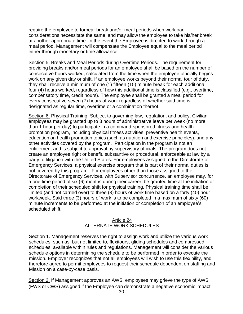require the employee to forbear break and/or meal periods when workload considerations necessitate the same, and may allow the employee to take his/her break at another appropriate time. In the event the Employee is directed to work through a meal period, Management will compensate the Employee equal to the meal period either through monetary or time allowance.

Section 5. Breaks and Meal Periods during Overtime Periods. The requirement for providing breaks and/or meal periods for an employee shall be based on the number of consecutive hours worked, calculated from the time when the employee officially begins work on any given day or shift. If an employee works beyond their normal tour of duty, they shall receive a minimum of one (1) fifteen (15) minute break for each additional four (4) hours worked, regardless of how this additional time is classified (e.g., overtime, compensatory time, credit hours). The employee shall be granted a meal period for every consecutive seven (7) hours of work regardless of whether said time is designated as regular time, overtime or a combination thereof.

Section 6. Physical Training. Subject to governing law, regulation, and policy, Civilian employees may be granted up to 3 hours of administrative leave per week (no more than 1 hour per day) to participate in a command-sponsored fitness and health promotion program, including physical fitness activities, preventive health events, education on health promotion topics (such as nutrition and exercise principles), and any other activities covered by the program. Participation in the program is not an entitlement and is subject to approval by supervisory officials. The program does not create an employee right or benefit, substantive or procedural, enforceable at law by a party to litigation with the United States. For employees assigned to the Directorate of Emergency Services, a physical exercise program that is part of their normal duties is not covered by this program. For employees other than those assigned to the Directorate of Emergency Services, with Supervisor concurrence, an employee may, for a one time period of six (6) months during their career, be granted time at the initiation or completion of their scheduled shift for physical training. Physical training time shall be limited (and not carried over) to three (3) hours of work time based on a forty (40) hour workweek. Said three (3) hours of work is to be completed in a maximum of sixty (60) minute increments to be performed at the initiation or completion of an employee's scheduled shift.

#### Article 24 ALTERNATE WORK SCHEDULES

Section 1. Management reserves the right to assign work and utilize the various work schedules, such as, but not limited to, flexitours, gliding schedules and compressed schedules, available within rules and regulations. Management will consider the various schedule options in determining the schedule to be performed in order to execute the mission. Employer recognizes that not all employees will wish to use this flexibility, and therefore agree to permit employees to request their schedule dependent on staffing and Mission on a case-by-case basis.

Section 2. If Management approves an AWS, employees may grieve the type of AWS (FWS or CWS) assigned if the Employee can demonstrate a negative economic impact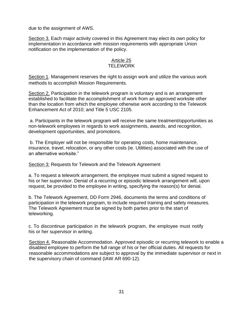due to the assignment of AWS.

Section 3. Each major activity covered in this Agreement may elect its own policy for implementation in accordance with mission requirements with appropriate Union notification on the implementation of the policy.

#### Article 25 **TELEWORK**

Section 1. Management reserves the right to assign work and utilize the various work methods to accomplish Mission Requirements.

Section 2. Participation in the telework program is voluntary and is an arrangement established to facilitate the accomplishment of work from an approved worksite other than the location from which the employee otherwise work according to the Telework Enhancement Act of 2010; and Title 5 USC 2105.

a. Participants in the telework program will receive the same treatment/opportunities as non-telework employees in regards to work assignments, awards, and recognition, development opportunities, and promotions.

b. The Employer will not be responsible for operating costs, home maintenance, insurance, travel, relocation, or any other costs (ie. Utilities) associated with the use of an alternative worksite."

Section 3: Requests for Telework and the Telework Agreement

a. To request a telework arrangement, the employee must submit a signed request to his or her supervisor. Denial of a recurring or episodic telework arrangement will, upon request, be provided to the employee in writing, specifying the reason(s) for denial.

b. The Telework Agreement, DD Form 2946, documents the terms and conditions of participation in the telework program, to include required training and safety measures. The Telework Agreement must be signed by both parties prior to the start of teleworking.

c. To discontinue participation in the telework program, the employee must notify his or her supervisor in writing.

Section 4. Reasonable Accommodation. Approved episodic or recurring telework to enable a disabled employee to perform the full range of his or her official duties. All requests for reasonable accommodations are subject to approval by the immediate supervisor or next in the supervisory chain of command (IAW AR 690-12).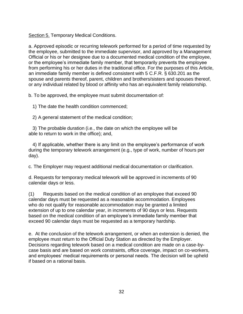Section 5. Temporary Medical Conditions.

a. Approved episodic or recurring telework performed for a period of time requested by the employee, submitted to the immediate supervisor, and approved by a Management Official or his or her designee due to a documented medical condition of the employee, or the employee's immediate family member, that temporarily prevents the employee from performing his or her duties in the traditional office. For the purposes of this Article, an immediate family member is defined consistent with 5 C.F.R. § 630.201 as the spouse and parents thereof, parent, children and brothers/sisters and spouses thereof, or any individual related by blood or affinity who has an equivalent family relationship.

b. To be approved, the employee must submit documentation of:

1) The date the health condition commenced;

2) A general statement of the medical condition;

3) The probable duration (i.e., the date on which the employee will be able to return to work in the office); and,

4) If applicable, whether there is any limit on the employee's performance of work during the temporary telework arrangement (e.g., type of work, number of hours per day).

c. The Employer may request additional medical documentation or clarification.

d. Requests for temporary medical telework will be approved in increments of 90 calendar days or less.

(1) Requests based on the medical condition of an employee that exceed 90 calendar days must be requested as a reasonable accommodation. Employees who do not qualify for reasonable accommodation may be granted a limited extension of up to one calendar year, in increments of 90 days or less. Requests based on the medical condition of an employee's immediate family member that exceed 90 calendar days must be requested as a temporary hardship.

e. At the conclusion of the telework arrangement, or when an extension is denied, the employee must return to the Official Duty Station as directed by the Employer. Decisions regarding telework based on a medical condition are made on a case-bycase basis and are based on work constraints, office coverage, impact on co-workers, and employees' medical requirements or personal needs. The decision will be upheld if based on a rational basis.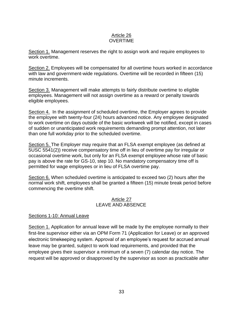#### Article 26 **OVERTIME**

Section 1. Management reserves the right to assign work and require employees to work overtime.

Section 2. Employees will be compensated for all overtime hours worked in accordance with law and government-wide regulations. Overtime will be recorded in fifteen (15) minute increments.

Section 3. Management will make attempts to fairly distribute overtime to eligible employees. Management will not assign overtime as a reward or penalty towards eligible employees.

Section 4. In the assignment of scheduled overtime, the Employer agrees to provide the employee with twenty-four (24) hours advanced notice. Any employee designated to work overtime on days outside of the basic workweek will be notified, except in cases of sudden or unanticipated work requirements demanding prompt attention, not later than one full workday prior to the scheduled overtime.

Section 5. The Employer may require that an FLSA exempt employee (as defined at 5USC 5541(2)) receive compensatory time off in lieu of overtime pay for irregular or occasional overtime work, but only for an FLSA exempt employee whose rate of basic pay is above the rate for GS-10, step 10. No mandatory compensatory time off is permitted for wage employees or in lieu of FLSA overtime pay.

Section 6. When scheduled overtime is anticipated to exceed two (2) hours after the normal work shift, employees shall be granted a fifteen (15) minute break period before commencing the overtime shift.

### Article 27 LEAVE AND ABSENCE

## Sections 1-10: Annual Leave

Section 1. Application for annual leave will be made by the employee normally to their first-line supervisor either via an OPM Form 71 (Application for Leave) or an approved electronic timekeeping system. Approval of an employee's request for accrued annual leave may be granted, subject to work load requirements, and provided that the employee gives their supervisor a minimum of a seven (7) calendar day notice. The request will be approved or disapproved by the supervisor as soon as practicable after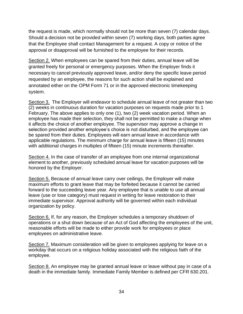the request is made, which normally should not be more than seven (7) calendar days. Should a decision not be provided within seven (7) working days, both parties agree that the Employee shall contact Management for a request. A copy or notice of the approval or disapproval will be furnished to the employee for their records.

Section 2. When employees can be spared from their duties, annual leave will be granted freely for personal or emergency purposes. When the Employer finds it necessary to cancel previously approved leave, and/or deny the specific leave period requested by an employee, the reasons for such action shall be explained and annotated either on the OPM Form 71 or in the approved electronic timekeeping system.

Section 3. The Employer will endeavor to schedule annual leave of not greater than two (2) weeks in continuous duration for vacation purposes on requests made prior to 1 February. The above applies to only one (1), two (2) week vacation period. When an employee has made their selection, they shall not be permitted to make a change when it affects the choice of another employee. The supervisor may approve a change in selection provided another employee's choice is not disturbed, and the employee can be spared from their duties. Employees will earn annual leave in accordance with applicable regulations. The minimum charge for annual leave is fifteen (15) minutes with additional charges in multiples of fifteen (15) minute increments thereafter.

Section 4. In the case of transfer of an employee from one internal organizational element to another, previously scheduled annual leave for vacation purposes will be honored by the Employer.

Section 5. Because of annual leave carry over ceilings, the Employer will make maximum efforts to grant leave that may be forfeited because it cannot be carried forward to the succeeding leave year. Any employee that is unable to use all annual leave (use or lose category) must request in writing for leave restoration to their immediate supervisor. Approval authority will be governed within each individual organization by policy.

Section 6. If, for any reason, the Employer schedules a temporary shutdown of operations or a shut down because of an Act of God affecting the employees of the unit, reasonable efforts will be made to either provide work for employees or place employees on administrative leave.

Section 7. Maximum consideration will be given to employees applying for leave on a workday that occurs on a religious holiday associated with the religious faith of the employee.

Section 8. An employee may be granted annual leave or leave without pay in case of a death in the immediate family. Immediate Family Member is defined per CFR 630.201.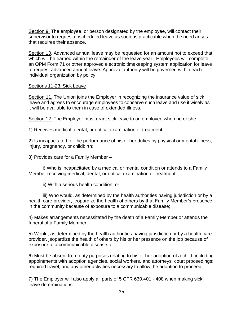Section 9. The employee, or person designated by the employee, will contact their supervisor to request unscheduled leave as soon as practicable when the need arises that requires their absence.

Section 10. Advanced annual leave may be requested for an amount not to exceed that which will be earned within the remainder of the leave year. Employees will complete an OPM Form 71 or other approved electronic timekeeping system application for leave to request advanced annual leave. Approval authority will be governed within each individual organization by policy.

#### Sections 11-23: Sick Leave

Section 11. The Union joins the Employer in recognizing the insurance value of sick leave and agrees to encourage employees to conserve such leave and use it wisely as it will be available to them in case of extended illness.

Section 12. The Employer must grant sick leave to an employee when he or she

1) Receives medical, dental, or optical examination or treatment;

2) Is incapacitated for the performance of his or her duties by physical or mental illness, injury, pregnancy, or childbirth;

3) Provides care for a Family Member –

i) Who is incapacitated by a medical or mental condition or attends to a Family Member receiving medical, dental, or optical examination or treatment;

ii) With a serious health condition; or

iii) Who would, as determined by the health authorities having jurisdiction or by a health care provider, jeopardize the health of others by that Family Member's presence in the community because of exposure to a communicable disease;

4) Makes arrangements necessitated by the death of a Family Member or attends the funeral of a Family Member;

5) Would, as determined by the health authorities having jurisdiction or by a health care provider, jeopardize the health of others by his or her presence on the job because of exposure to a communicable disease; or

6) Must be absent from duty purposes relating to his or her adoption of a child, including appointments with adoption agencies, social workers, and attorneys; court proceedings; required travel; and any other activities necessary to allow the adoption to proceed.

7) The Employer will also apply all parts of 5 CFR 630.401 - 408 when making sick leave determinations.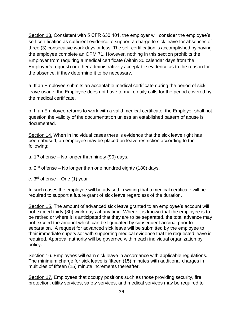Section 13. Consistent with 5 CFR 630.401, the employer will consider the employee's self-certification as sufficient evidence to support a charge to sick leave for absences of three (3) consecutive work days or less. The self-certification is accomplished by having the employee complete an OPM 71. However, nothing in this section prohibits the Employer from requiring a medical certificate (within 30 calendar days from the Employer's request) or other administratively acceptable evidence as to the reason for the absence, if they determine it to be necessary.

a. If an Employee submits an acceptable medical certificate during the period of sick leave usage, the Employee does not have to make daily calls for the period covered by the medical certificate.

b. If an Employee returns to work with a valid medical certificate, the Employer shall not question the validity of the documentation unless an established pattern of abuse is documented.

Section 14. When in individual cases there is evidence that the sick leave right has been abused, an employee may be placed on leave restriction according to the following:

- a.  $1<sup>st</sup>$  offense No longer than ninety (90) days.
- b. 2<sup>nd</sup> offense No longer than one hundred eighty (180) days.
- c. 3<sup>rd</sup> offense One (1) year

In such cases the employee will be advised in writing that a medical certificate will be required to support a future grant of sick leave regardless of the duration.

Section 15. The amount of advanced sick leave granted to an employee's account will not exceed thirty (30) work days at any time. Where it is known that the employee is to be retired or where it is anticipated that they are to be separated, the total advance may not exceed the amount which can be liquidated by subsequent accrual prior to separation. A request for advanced sick leave will be submitted by the employee to their immediate supervisor with supporting medical evidence that the requested leave is required. Approval authority will be governed within each individual organization by policy.

Section 16. Employees will earn sick leave in accordance with applicable regulations. The minimum charge for sick leave is fifteen (15) minutes with additional charges in multiples of fifteen (15) minute increments thereafter.

Section 17. Employees that occupy positions such as those providing security, fire protection, utility services, safety services, and medical services may be required to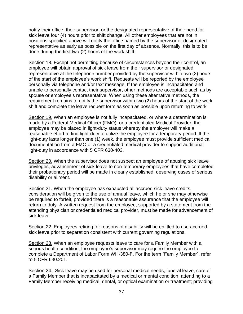notify their office, their supervisor, or the designated representative of their need for sick leave four (4) hours prior to shift change. All other employees that are not in positions specified above will notify the office named by the supervisor or designated representative as early as possible on the first day of absence. Normally, this is to be done during the first two (2) hours of the work shift.

Section 18. Except not permitting because of circumstances beyond their control, an employee will obtain approval of sick leave from their supervisor or designated representative at the telephone number provided by the supervisor within two (2) hours of the start of the employee's work shift. Requests will be reported by the employee personally via telephone and/or text message. If the employee is incapacitated and unable to personally contact their supervisor, other methods are acceptable such as by spouse or employee's representative. When using these alternative methods, the requirement remains to notify the supervisor within two (2) hours of the start of the work shift and complete the leave request form as soon as possible upon returning to work.

Section 19. When an employee is not fully incapacitated, or where a determination is made by a Federal Medical Officer (FMO), or a credentialed Medical Provider, the employee may be placed in light-duty status whereby the employer will make a reasonable effort to find light-duty to utilize the employee for a temporary period. If the light-duty lasts longer than one (1) week, the employee must provide sufficient medical documentation from a FMO or a credentialed medical provider to support additional light-duty in accordance with 5 CFR 630-403.

Section 20. When the supervisor does not suspect an employee of abusing sick leave privileges, advancement of sick leave to non-temporary employees that have completed their probationary period will be made in clearly established, deserving cases of serious disability or ailment.

Section 21. When the employee has exhausted all accrued sick leave credits, consideration will be given to the use of annual leave, which he or she may otherwise be required to forfeit, provided there is a reasonable assurance that the employee will return to duty. A written request from the employee, supported by a statement from the attending physician or credentialed medical provider, must be made for advancement of sick leave.

Section 22. Employees retiring for reasons of disability will be entitled to use accrued sick leave prior to separation consistent with current governing regulations.

Section 23. When an employee requests leave to care for a Family Member with a serious health condition, the employee's supervisor may require the employee to complete a Department of Labor Form WH-380-F. For the term "Family Member", refer to 5 CFR 630.201.

Section 24. Sick leave may be used for personal medical needs; funeral leave; care of a Family Member that is incapacitated by a medical or mental condition; attending to a Family Member receiving medical, dental, or optical examination or treatment; providing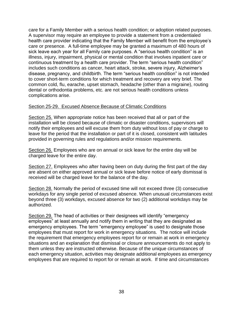care for a Family Member with a serious health condition; or adoption related purposes. A supervisor may require an employee to provide a statement from a credentialed health care provider indicating that the Family Member will benefit from the employee's care or presence. A full-time employee may be granted a maximum of 480 hours of sick leave each year for all Family care purposes. A "serious health condition" is an illness, injury, impairment, physical or mental condition that involves inpatient care or continuous treatment by a health care provider. The term "serious health condition" includes such conditions as cancer, heart attack, stroke, severe injury, Alzheimer's disease, pregnancy, and childbirth. The term "serious health condition" is not intended to cover short-term conditions for which treatment and recovery are very brief. The common cold, flu, earache, upset stomach, headache (other than a migraine), routing dental or orthodontia problems, etc. are not serious health conditions unless complications arise.

#### Section 25-29. Excused Absence Because of Climatic Conditions

Section 25. When appropriate notice has been received that all or part of the installation will be closed because of climatic or disaster conditions, supervisors will notify their employees and will excuse them from duty without loss of pay or charge to leave for the period that the installation or part of it is closed, consistent with latitudes provided in governing rules and regulations and/or mission requirements.

Section 26. Employees who are on annual or sick leave for the entire day will be charged leave for the entire day.

Section 27. Employees who after having been on duty during the first part of the day are absent on either approved annual or sick leave before notice of early dismissal is received will be charged leave for the balance of the day.

Section 28. Normally the period of excused time will not exceed three (3) consecutive workdays for any single period of excused absence. When unusual circumstances exist beyond three (3) workdays, excused absence for two (2) additional workdays may be authorized.

Section 29. The head of activities or their designees will identify "emergency employees" at least annually and notify them in writing that they are designated as emergency employees. The term "emergency employee" is used to designate those employees that must report for work in emergency situations. The notice will include the requirement that emergency employees report for or remain at work in emergency situations and an explanation that dismissal or closure announcements do not apply to them unless they are instructed otherwise. Because of the unique circumstances of each emergency situation, activities may designate additional employees as emergency employees that are required to report for or remain at work. If time and circumstances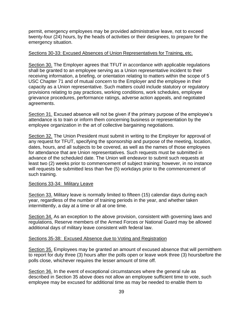permit, emergency employees may be provided administrative leave, not to exceed twenty-four (24) hours, by the heads of activities or their designees, to prepare for the emergency situation.

#### Sections 30-33: Excused Absences of Union Representatives for Training, etc.

Section 30. The Employer agrees that TFUT in accordance with applicable regulations shall be granted to an employee serving as a Union representative incident to their receiving information, a briefing, or orientation relating to matters within the scope of 5 USC Chapter 71 and of mutual concern to the Employer and the employee in their capacity as a Union representative. Such matters could include statutory or regulatory provisions relating to pay practices, working conditions, work schedules, employee grievance procedures, performance ratings, adverse action appeals, and negotiated agreements.

Section 31. Excused absence will not be given if the primary purpose of the employee's attendance is to train or inform them concerning business or representation by the employee organization in the art of collective bargaining negotiations.

Section 32. The Union President must submit in writing to the Employer for approval of any request for TFUT, specifying the sponsorship and purpose of the meeting, location, dates, hours, and all subjects to be covered, as well as the names of those employees for attendance that are Union representatives. Such requests must be submitted in advance of the scheduled date. The Union will endeavor to submit such requests at least two (2) weeks prior to commencement of subject training; however, in no instance will requests be submitted less than five (5) workdays prior to the commencement of such training.

#### Sections 33-34: Military Leave

Section 33. Military leave is normally limited to fifteen (15) calendar days during each year, regardless of the number of training periods in the year, and whether taken intermittently, a day at a time or all at one time.

Section 34. As an exception to the above provision, consistent with governing laws and regulations, Reserve members of the Armed Forces or National Guard may be allowed additional days of military leave consistent with federal law.

#### Sections 35-38: Excused Absence due to Voting and Registration

Section 35. Employees may be granted an amount of excused absence that will permitthem to report for duty three (3) hours after the polls open or leave work three (3) hoursbefore the polls close, whichever requires the lesser amount of time off.

Section 36. In the event of exceptional circumstances where the general rule as described in Section 35 above does not allow an employee sufficient time to vote, such employee may be excused for additional time as may be needed to enable them to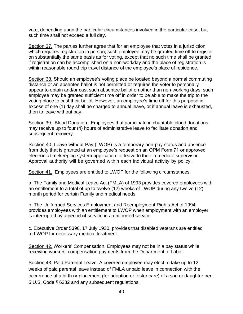vote, depending upon the particular circumstances involved in the particular case, but such time shall not exceed a full day.

Section 37. The parties further agree that for an employee that votes in a jurisdiction which requires registration in person, such employee may be granted time off to register on substantially the same basis as for voting, except that no such time shall be granted if registration can be accomplished on a non-workday and the place of registration is within reasonable round trip travel distance of the employee's place of residence.

Section 38. Should an employee's voting place be located beyond a normal commuting distance or an absentee ballot is not permitted or requires the voter to personally appear to obtain and/or cast such absentee ballot on other than non-working days, such employee may be granted sufficient time off in order to be able to make the trip to the voting place to cast their ballot. However, an employee's time off for this purpose in excess of one (1) day shall be charged to annual leave, or if annual leave is exhausted, then to leave without pay.

Section 39. Blood Donation. Employees that participate in charitable blood donations may receive up to four (4) hours of administrative leave to facilitate donation and subsequent recovery.

Section 40. Leave without Pay (LWOP) is a temporary non-pay status and absence from duty that is granted at an employee's request on an OPM Form 71 or approved electronic timekeeping system application for leave to their immediate supervisor. Approval authority will be governed within each individual activity by policy.

Section 41. Employees are entitled to LWOP for the following circumstances:

a. The Family and Medical Leave Act (FMLA) of 1993 provides covered employees with an entitlement to a total of up to twelve (12) weeks of LWOP during any twelve (12) month period for certain Family and medical needs.

b. The Uniformed Services Employment and Reemployment Rights Act of 1994 provides employees with an entitlement to LWOP when employment with an employer is interrupted by a period of service in a uniformed service.

c. Executive Order 5396, 17 July 1930, provides that disabled veterans are entitled to LWOP for necessary medical treatment.

Section 42. Workers' Compensation. Employees may not be in a pay status while receiving workers' compensation payments from the Department of Labor.

Section 43. Paid Parental Leave. A covered employee may elect to take up to 12 weeks of paid parental leave instead of FMLA unpaid leave in connection with the occurrence of a birth or placement (for adoption or foster care) of a son or daughter per 5 U.S. Code § 6382 and any subsequent regulations.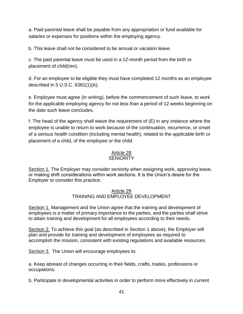a. Paid parental leave shall be payable from any appropriation or fund available for salaries or expenses for positions within the employing agency.

b. This leave shall not be considered to be annual or vacation leave.

c. The paid parental leave must be used in a 12-month period from the birth or placement of child(ren).

d. For an employee to be eligible they must have completed 12 months as an employee described in 5 U.S.C. 6381(1)(A).

e. Employee must agree (in writing), before the commencement of such leave, to work for the applicable employing agency for not less than a period of 12 weeks beginning on the date such leave concludes.

f. The head of the agency shall waive the requirement of (E) in any instance where the employee is unable to return to work because of the continuation, recurrence, or onset of a serious health condition (including mental health), related to the applicable birth or placement of a child, of the employee or the child.

# Article 28

# **SENIORITY**

Section 1. The Employer may consider seniority when assigning work, approving leave, or making shift considerations within work sections. It is the Union's desire for the Employer to consider this practice.

## Article 29 TRAINING AND EMPLOYEE DEVELOPMENT

Section 1. Management and the Union agree that the training and development of employees is a matter of primary importance to the parties, and the parties shall strive to attain training and development for all employees according to their needs.

Section 2. To achieve this goal (as described in Section 1 above), the Employer will plan and provide for training and development of employees as required to accomplish the mission, consistent with existing regulations and available resources.

Section 3. The Union will encourage employees to:

a. Keep abreast of changes occurring in their fields, crafts, trades, professions or occupations.

b. Participate in developmental activities in order to perform more effectively in current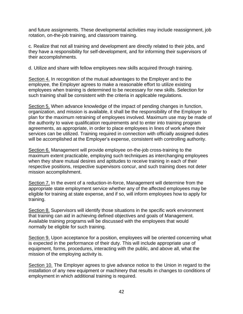and future assignments. These developmental activities may include reassignment, job rotation, on-the-job training, and classroom training.

c. Realize that not all training and development are directly related to their jobs, and they have a responsibility for self-development, and for informing their supervisors of their accomplishments.

d. Utilize and share with fellow employees new skills acquired through training.

Section 4. In recognition of the mutual advantages to the Employer and to the employee, the Employer agrees to make a reasonable effort to utilize existing employees when training is determined to be necessary for new skills. Selection for such training shall be consistent with the criteria in applicable regulations.

Section 5. When advance knowledge of the impact of pending changes in function, organization, and mission is available, it shall be the responsibility of the Employer to plan for the maximum retraining of employees involved. Maximum use may be made of the authority to waive qualification requirements and to enter into training program agreements, as appropriate, in order to place employees in lines of work where their services can be utilized. Training required in connection with officially assigned duties will be accomplished at the Employer's expense, consistent with controlling authority.

Section 6. Management will provide employee on-the-job cross-training to the maximum extent practicable, employing such techniques as interchanging employees when they share mutual desires and aptitudes to receive training in each of their respective positions, respective supervisors concur, and such training does not deter mission accomplishment.

Section 7. In the event of a reduction-in-force, Management will determine from the appropriate state employment service whether any of the affected employees may be eligible for training at state expense, and if so, will inform employees how to apply for training.

Section 8. Supervisors will identify those situations in the specific work environment that training can aid in achieving defined objectives and goals of Management. Available training programs will be discussed with the employees that would normally be eligible for such training.

Section 9. Upon acceptance for a position, employees will be oriented concerning what is expected in the performance of their duty. This will include appropriate use of equipment, forms, procedures, interacting with the public, and above all, what the mission of the employing activity is.

Section 10. The Employer agrees to give advance notice to the Union in regard to the installation of any new equipment or machinery that results in changes to conditions of employment in which additional training is required.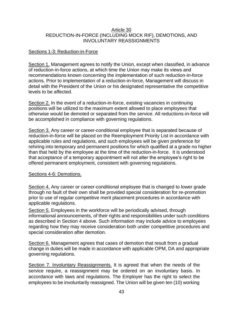#### Article 30 REDUCTION-IN-FORCE (INCLUDING MOCK RIF), DEMOTIONS, AND INVOLUNTARY REASSIGNMENTS

#### Sections 1-3: Reduction-in-Force

Section 1. Management agrees to notify the Union, except when classified, in advance of reduction-in-force actions, at which time the Union may make its views and recommendations known concerning the implementation of such reduction-in-force actions. Prior to implementation of a reduction-in-force, Management will discuss in detail with the President of the Union or his designated representative the competitive levels to be affected.

Section 2. In the event of a reduction-in-force, existing vacancies in continuing positions will be utilized to the maximum extent allowed to place employees that otherwise would be demoted or separated from the service. All reductions-in-force will be accomplished in compliance with governing regulations.

Section 3. Any career or career-conditional employee that is separated because of reduction-in-force will be placed on the Reemployment Priority List in accordance with applicable rules and regulations, and such employees will be given preference for rehiring into temporary and permanent positions for which qualified at a grade no higher than that held by the employee at the time of the reduction-in-force. It is understood that acceptance of a temporary appointment will not alter the employee's right to be offered permanent employment, consistent with governing regulations.

#### Sections 4-6: Demotions.

Section 4. Any career or career-conditional employee that is changed to lower grade through no fault of their own shall be provided special consideration for re-promotion prior to use of regular competitive merit placement procedures in accordance with applicable regulations.

Section 5. Employees in the workforce will be periodically advised, through informational announcements, of their rights and responsibilities under such conditions as described in Section 4 above. Such information may include advice to employees regarding how they may receive consideration both under competitive procedures and special consideration after demotion.

Section 6. Management agrees that cases of demotion that result from a gradual change in duties will be made in accordance with applicable OPM, DA and appropriate governing regulations.

Section 7. Involuntary Reassignments. It is agreed that when the needs of the service require, a reassignment may be ordered on an involuntary basis. In accordance with laws and regulations. The Employer has the right to select the employees to be involuntarily reassigned. The Union will be given ten (10) working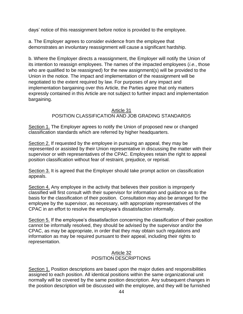days' notice of this reassignment before notice is provided to the employee.

a. The Employer agrees to consider evidence from the employee that demonstrates an involuntary reassignment will cause a significant hardship.

b. Where the Employer directs a reassignment, the Employer will notify the Union of its intention to reassign employees. The names of the impacted employees (*i.e.*, those who are qualified to be reassigned) for the new assignment(s) will be provided to the Union in the notice. The impact and implementation of the reassignment will be negotiated to the extent required by law. For purposes of any impact and implementation bargaining over this Article, the Parties agree that only matters expressly contained in this Article are not subject to further impact and implementation bargaining.

#### Article 31 POSITION CLASSIFICATION AND JOB GRADING STANDARDS

Section 1. The Employer agrees to notify the Union of proposed new or changed classification standards which are referred by higher headquarters.

Section 2. If requested by the employee in pursuing an appeal, they may be represented or assisted by their Union representative in discussing the matter with their supervisor or with representatives of the CPAC. Employees retain the right to appeal position classification without fear of restraint, prejudice, or reprisal.

Section 3. It is agreed that the Employer should take prompt action on classification appeals.

Section 4. Any employee in the activity that believes their position is improperly classified will first consult with their supervisor for information and guidance as to the basis for the classification of their position. Consultation may also be arranged for the employee by the supervisor, as necessary, with appropriate representatives of the CPAC in an effort to resolve the employee's dissatisfaction informally.

Section 5. If the employee's dissatisfaction concerning the classification of their position cannot be informally resolved, they should be advised by the supervisor and/or the CPAC, as may be appropriate, in order that they may obtain such regulations and information as may be required pursuant to their appeal, including their rights to representation.

## Article 32 POSITION DESCRIPTIONS

Section 1. Position descriptions are based upon the major duties and responsibilities assigned to each position. All identical positions within the same organizational unit normally will be covered by the same position description. Any subsequent changes in the position description will be discussed with the employee, and they will be furnished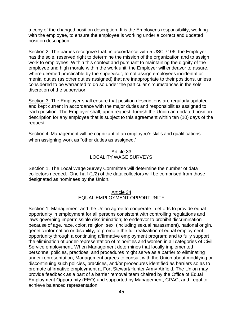a copy of the changed position description. It is the Employer's responsibility, working with the employee, to ensure the employee is working under a correct and updated position description.

Section 2. The parties recognize that, in accordance with 5 USC 7106, the Employer has the sole, reserved right to determine the mission of the organization and to assign work to employees. Within this context and pursuant to maintaining the dignity of the employee and high morale within the work unit, the Employer will endeavor to assure, where deemed practicable by the supervisor, to not assign employees incidental or menial duties (as other duties assigned) that are inappropriate to their positions, unless considered to be warranted to do so under the particular circumstances in the sole discretion of the supervisor.

Section 3. The Employer shall ensure that position descriptions are regularly updated and kept current in accordance with the major duties and responsibilities assigned to each position. The Employer shall, upon request, furnish the Union an updated position description for any employee that is subject to this agreement within ten (10) days of the request.

Section 4. Management will be cognizant of an employee's skills and qualifications when assigning work as "other duties as assigned."

### Article 33 LOCALITY WAGE SURVEYS

Section 1. The Local Wage Survey Committee will determine the number of data collectors needed. One-half (1/2) of the data collectors will be comprised from those designated as nominees by the Union.

#### Article 34 EQUAL EMPLOYMENT OPPORTUNITY

Section 1. Management and the Union agree to cooperate in efforts to provide equal opportunity in employment for all persons consistent with controlling regulations and laws governing impermissible discrimination; to endeavor to prohibit discrimination because of age, race, color, religion, sex, (including sexual harassment), national origin, genetic information or disability; to promote the full realization of equal employment opportunity through a continuing affirmative employment program; and to fully support the elimination of under-representation of minorities and women in all categories of Civil Service employment. When Management determines that locally implemented personnel policies, practices, and procedures might serve as a barrier to eliminating under-representation, Management agrees to consult with the Union about modifying or discontinuing such policies, practices, and/or procedures identified as barriers so as to promote affirmative employment at Fort Stewart/Hunter Army Airfield. The Union may provide feedback as a part of a barrier removal team chaired by the Office of Equal Employment Opportunity (EEO) and supported by Management, CPAC, and Legal to achieve balanced representation.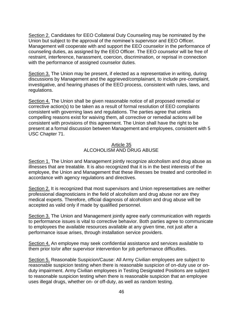Section 2. Candidates for EEO Collateral Duty Counseling may be nominated by the Union but subject to the approval of the nominee's supervisor and EEO Officer. Management will cooperate with and support the EEO counselor in the performance of counseling duties, as assigned by the EEO Officer. The EEO counselor will be free of restraint, interference, harassment, coercion, discrimination, or reprisal in connection with the performance of assigned counselor duties.

Section 3. The Union may be present, if elected as a representative in writing, during discussions by Management and the aggrieved/complainant, to include pre-complaint, investigative, and hearing phases of the EEO process, consistent with rules, laws, and regulations.

Section 4. The Union shall be given reasonable notice of all proposed remedial or corrective action(s) to be taken as a result of formal resolution of EEO complaints consistent with governing laws and regulations. The parties agree that unless compelling reasons exist for waiving them, all corrective or remedial actions will be consistent with provisions of this agreement. The Union shall have the right to be present at a formal discussion between Management and employees, consistent with 5 USC Chapter 71.

#### Article 35 ALCOHOLISM AND DRUG ABUSE

Section 1. The Union and Management jointly recognize alcoholism and drug abuse as illnesses that are treatable. It is also recognized that it is in the best interests of the employee, the Union and Management that these illnesses be treated and controlled in accordance with agency regulations and directives.

Section 2. It is recognized that most supervisors and Union representatives are neither professional diagnosticians in the field of alcoholism and drug abuse nor are they medical experts. Therefore, official diagnosis of alcoholism and drug abuse will be accepted as valid only if made by qualified personnel.

Section 3. The Union and Management jointly agree early communication with regards to performance issues is vital to corrective behavior. Both parties agree to communicate to employees the available resources available at any given time, not just after a performance issue arises, through installation service providers.

Section 4. An employee may seek confidential assistance and services available to them prior to/or after supervisor intervention for job performance difficulties.

Section 5. Reasonable Suspicion/Cause: All Army Civilian employees are subject to reasonable suspicion testing when there is reasonable suspicion of on-duty use or onduty impairment. Army Civilian employees in Testing Designated Positions are subject to reasonable suspicion testing when there is reasonable suspicion that an employee uses illegal drugs, whether on- or off-duty, as well as random testing.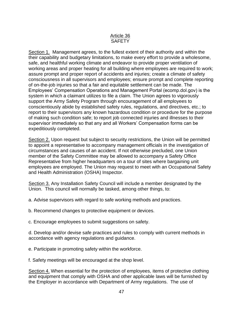### Article 36 **SAFFTY**

Section 1. Management agrees, to the fullest extent of their authority and within the their capability and budgetary limitations, to make every effort to provide a wholesome, safe, and healthful working climate and endeavor to provide proper ventilation of working areas and proper heating for all building where employees are required to work; assure prompt and proper report of accidents and injuries; create a climate of safety consciousness in all supervisors and employees; ensure prompt and complete reporting of on-the-job injuries so that a fair and equitable settlement can be made. The Employees' Compensation Operations and Management Portal (ecomp.dol.gov) is the system in which a claimant utilizes to file a claim. The Union agrees to vigorously support the Army Safety Program through encouragement of all employees to conscientiously abide by established safety rules, regulations, and directives, etc.; to report to their supervisors any known hazardous condition or procedure for the purpose of making such condition safe; to report job connected injuries and illnesses to their supervisor immediately so that any and all Workers' Compensation forms can be expeditiously completed.

Section 2. Upon request but subject to security restrictions, the Union will be permitted to appoint a representative to accompany management officials in the investigation of circumstances and causes of an accident. If not otherwise precluded, one Union member of the Safety Committee may be allowed to accompany a Safety Office Representative from higher headquarters on a tour of sites where bargaining unit employees are employed. The Union may request to meet with an Occupational Safety and Health Administration (OSHA) Inspector.

Section 3. Any Installation Safety Council will include a member designated by the Union. This council will normally be tasked, among other things, to:

- a. Advise supervisors with regard to safe working methods and practices.
- b. Recommend changes to protective equipment or devices.
- c. Encourage employees to submit suggestions on safety.

d. Develop and/or devise safe practices and rules to comply with current methods in accordance with agency regulations and guidance.

- e. Participate in promoting safety within the workforce.
- f. Safety meetings will be encouraged at the shop level.

Section 4. When essential for the protection of employees, items of protective clothing and equipment that comply with OSHA and other applicable laws will be furnished by the Employer in accordance with Department of Army regulations. The use of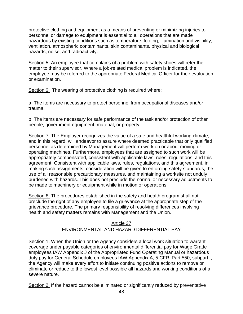protective clothing and equipment as a means of preventing or minimizing injuries to personnel or damage to equipment is essential to all operations that are made hazardous by existing conditions such as temperature, footing, illumination and visibility, ventilation, atmospheric contaminants, skin contaminants, physical and biological hazards, noise, and radioactivity.

Section 5. An employee that complains of a problem with safety shoes will refer the matter to their supervisor. Where a job-related medical problem is indicated, the employee may be referred to the appropriate Federal Medical Officer for their evaluation or examination.

Section 6. The wearing of protective clothing is required where:

a. The items are necessary to protect personnel from occupational diseases and/or trauma.

b. The items are necessary for safe performance of the task and/or protection of other people, government equipment, material, or property.

Section 7. The Employer recognizes the value of a safe and healthful working climate, and in this regard, will endeavor to assure where deemed practicable that only qualified personnel as determined by Management will perform work on or about moving or operating machines. Furthermore, employees that are assigned to such work will be appropriately compensated, consistent with applicable laws, rules, regulations, and this agreement. Consistent with applicable laws, rules, regulations, and this agreement, in making such assignments, consideration will be given to enforcing safety standards, the use of all reasonable precautionary measures, and maintaining a worksite not unduly burdened with hazards. This does not preclude the normal or necessary adjustments to be made to machinery or equipment while in motion or operations.

Section 8. The procedures established in the safety and health program shall not preclude the right of any employee to file a grievance at the appropriate step of the grievance procedure. The primary responsibility of resolving differences involving health and safety matters remains with Management and the Union.

### Article 37 ENVIRONMENTAL AND HAZARD DIFFERENTIAL PAY

Section 1. When the Union or the Agency considers a local work situation to warrant coverage under payable categories of environmental differential pay for Wage Grade employees IAW Appendix J of the Appropriated Fund Operating Manual or hazardous duty pay for General Schedule employees IAW Appendix A, 5 CFR, Part 550, subpart I, the Agency will make every effort to initiate continuing positive actions to remove or eliminate or reduce to the lowest level possible all hazards and working conditions of a severe nature.

Section 2. If the hazard cannot be eliminated or significantly reduced by preventative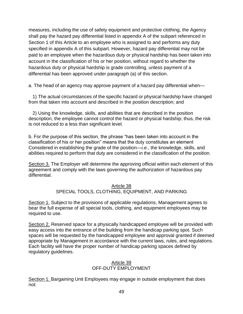measures, including the use of safety equipment and protective clothing, the Agency shall pay the hazard pay differential listed in appendix A of the subpart referenced in Section 1 of this Article to an employee who is assigned to and performs any duty specified in appendix A of this subpart. However, hazard pay differential may not be paid to an employee when the hazardous duty or physical hardship has been taken into account in the classification of his or her position, without regard to whether the hazardous duty or physical hardship is grade controlling, unless payment of a differential has been approved under paragraph (a) of this section.

a. The head of an agency may approve payment of a hazard pay differential when—

1) The actual circumstances of the specific hazard or physical hardship have changed from that taken into account and described in the position description; and

2) Using the knowledge, skills, and abilities that are described in the position description, the employee cannot control the hazard or physical hardship; thus, the risk is not reduced to a less than significant level.

b. For the purpose of this section, the phrase "has been taken into account in the classification of his or her position" means that the duty constitutes an element Considered in establishing the grade of the position—*i.e.*, the knowledge, skills, and abilities required to perform that duty are considered in the classification of the position.

Section 3. The Employer will determine the approving official within each element of this agreement and comply with the laws governing the authorization of hazardous pay differential.

#### Article 38

# SPECIAL TOOLS, CLOTHING, EQUIPMENT, AND PARKING

Section 1. Subject to the provisions of applicable regulations, Management agrees to bear the full expense of all special tools, clothing, and equipment employees may be required to use.

Section 2. Reserved space for a physically handicapped employee will be provided with easy access into the entrance of the building from the handicap parking spot. Such spaces will be requested by the handicapped employee and approval granted if deemed appropriate by Management in accordance with the current laws, rules, and regulations. Each facility will have the proper number of handicap parking spaces defined by regulatory guidelines.

### Article 39 OFF-DUTY EMPLOYMENT

Section 1. Bargaining Unit Employees may engage in outside employment that does not: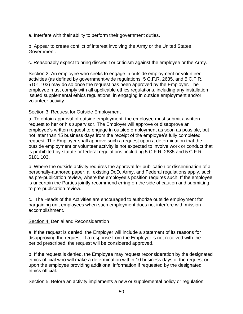a. Interfere with their ability to perform their government duties.

b. Appear to create conflict of interest involving the Army or the United States Government.

c. Reasonably expect to bring discredit or criticism against the employee or the Army.

Section 2. An employee who seeks to engage in outside employment or volunteer activities (as defined by government-wide regulations, 5 C.F.R. 2635, and 5 C.F.R. 5101.103) may do so once the request has been approved by the Employer. The employee must comply with all applicable ethics regulations, including any installation issued supplemental ethics regulations, in engaging in outside employment and/or volunteer activity.

## Section 3. Request for Outside Employment

a. To obtain approval of outside employment, the employee must submit a written request to her or his supervisor. The Employer will approve or disapprove an employee's written request to engage in outside employment as soon as possible, but not later than 15 business days from the receipt of the employee's fully completed request. The Employer shall approve such a request upon a determination that the outside employment or volunteer activity is not expected to involve work or conduct that is prohibited by statute or federal regulations, including 5 C.F.R. 2635 and 5 C.F.R. 5101.103.

b. Where the outside activity requires the approval for publication or dissemination of a personally-authored paper, all existing DoD, Army, and Federal regulations apply, such as pre-publication review, where the employee's position requires such. If the employee is uncertain the Parties jointly recommend erring on the side of caution and submitting to pre-publication review.

c. The Heads of the Activities are encouraged to authorize outside employment for bargaining unit employees when such employment does not interfere with mission accomplishment.

#### Section 4. Denial and Reconsideration

a. If the request is denied, the Employer will include a statement of its reasons for disapproving the request. If a response from the Employer is not received with the period prescribed, the request will be considered approved.

b. If the request is denied, the Employee may request reconsideration by the designated ethics official who will make a determination within 10 business days of the request or upon the employee providing additional information if requested by the designated ethics official.

Section 5. Before an activity implements a new or supplemental policy or regulation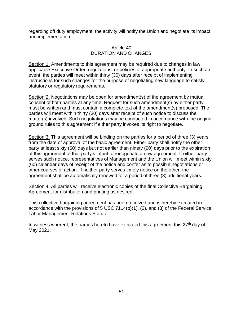regarding off duty employment, the activity will notify the Union and negotiate its impact and implementation.

### Article 40 DURATION AND CHANGES

Section 1. Amendments to this agreement may be required due to changes in law, applicable Executive Order, regulations, or policies of appropriate authority. In such an event, the parties will meet within thirty (30) days after receipt of implementing instructions for such changes for the purpose of negotiating new language to satisfy statutory or regulatory requirements.

Section 2. Negotiations may be open for amendment(s) of the agreement by mutual consent of both parties at any time. Request for such amendment(s) by either party must be written and must contain a complete text of the amendment(s) proposed. The parties will meet within thirty (30) days after receipt of such notice to discuss the matter(s) involved. Such negotiations may be conducted in accordance with the original ground rules to this agreement if either party invokes its right to negotiate.

Section 3. This agreement will be binding on the parties for a period of three (3) years from the date of approval of the basic agreement. Either party shall notify the other party at least sixty (60) days but not earlier than ninety (90) days prior to the expiration of this agreement of that party's intent to renegotiate a new agreement. If either party serves such notice, representatives of Management and the Union will meet within sixty (60) calendar days of receipt of the notice and confer as to possible negotiations or other courses of action. If neither party serves timely notice on the other, the agreement shall be automatically renewed for a period of three (3) additional years.

Section 4. All parties will receive electronic copies of the final Collective Bargaining Agreement for distribution and printing as desired.

This collective bargaining agreement has been received and is hereby executed in accordance with the provisions of 5 USC 7114(b)(1), (2), and (3) of the Federal Service Labor Management Relations Statute.

In witness whereof, the parties hereto have executed this agreement this  $27<sup>th</sup>$  day of May 2021.